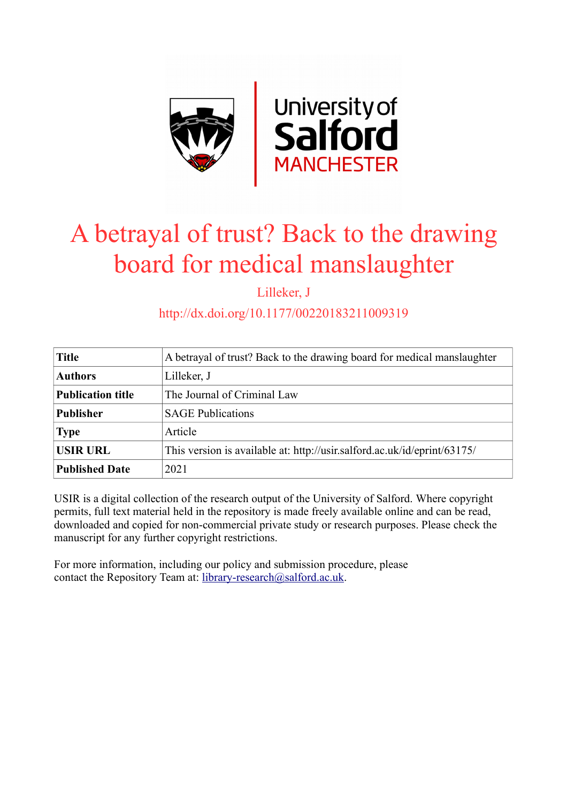

# A betrayal of trust? Back to the drawing board for medical manslaughter

Lilleker, J

http://dx.doi.org/10.1177/00220183211009319

| <b>Title</b>             | A betrayal of trust? Back to the drawing board for medical manslaughter  |
|--------------------------|--------------------------------------------------------------------------|
| <b>Authors</b>           | Lilleker, J                                                              |
| <b>Publication title</b> | The Journal of Criminal Law                                              |
| <b>Publisher</b>         | <b>SAGE Publications</b>                                                 |
| <b>Type</b>              | Article                                                                  |
| <b>USIR URL</b>          | This version is available at: http://usir.salford.ac.uk/id/eprint/63175/ |
| <b>Published Date</b>    | 2021                                                                     |

USIR is a digital collection of the research output of the University of Salford. Where copyright permits, full text material held in the repository is made freely available online and can be read, downloaded and copied for non-commercial private study or research purposes. Please check the manuscript for any further copyright restrictions.

For more information, including our policy and submission procedure, please contact the Repository Team at: [library-research@salford.ac.uk.](mailto:library-research@salford.ac.uk)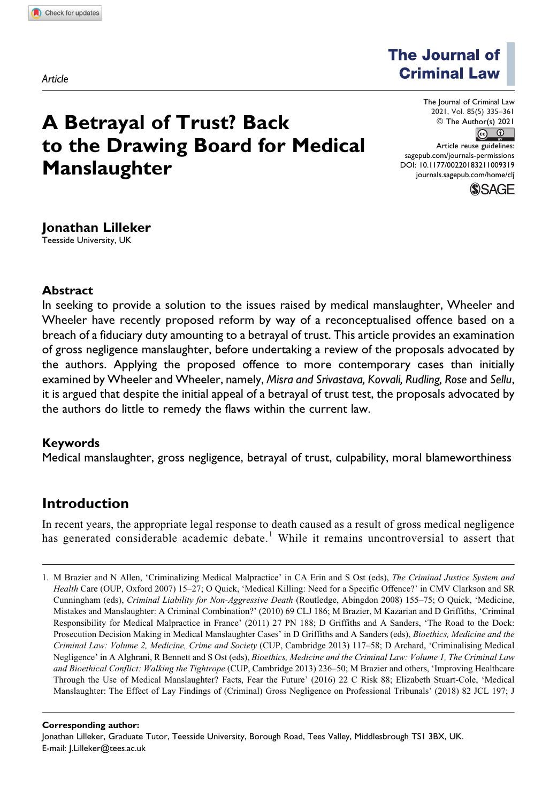*Article*

**The Journal of Criminal Law** 

## **A Betrayal of Trust? Back to the Drawing Board for Medical Manslaughter**

The Journal of Criminal Law 2021, Vol. 85(5) 335–361© The Author(s) 2021  $\circ$   $\circ$ Article reuse guidelines: [sagepub.com/journals-permissions](https://sagepub.com/journals-permissions) [DOI: 10.1177/00220183211009319](https://doi.org/10.1177/00220183211009319)

[journals.sagepub.com/home/clj](http://journals.sagepub.com/home/clj)



#### **Jonathan Lilleker**

Teesside University, UK

#### **Abstract**

In seeking to provide a solution to the issues raised by medical manslaughter, Wheeler and Wheeler have recently proposed reform by way of a reconceptualised offence based on a breach of a fiduciary duty amounting to a betrayal of trust. This article provides an examination of gross negligence manslaughter, before undertaking a review of the proposals advocated by the authors. Applying the proposed offence to more contemporary cases than initially examined by Wheeler and Wheeler, namely, *Misra and Srivastava, Kovvali, Rudling, Rose* and *Sellu*, it is argued that despite the initial appeal of a betrayal of trust test, the proposals advocated by the authors do little to remedy the flaws within the current law.

#### **Keywords**

Medical manslaughter, gross negligence, betrayal of trust, culpability, moral blameworthiness

### **Introduction**

In recent years, the appropriate legal response to death caused as a result of gross medical negligence has generated considerable academic debate.<sup>1</sup> While it remains uncontroversial to assert that

#### **Corresponding author:**

Jonathan Lilleker, Graduate Tutor, Teesside University, Borough Road, Tees Valley, Middlesbrough TS1 3BX, UK. E-mail: [J.Lilleker@tees.ac.uk](mailto:J.Lilleker@tees.ac.uk)

<sup>1.</sup> M Brazier and N Allen, 'Criminalizing Medical Malpractice' in CA Erin and S Ost (eds), The Criminal Justice System and Health Care (OUP, Oxford 2007) 15-27; O Quick, 'Medical Killing: Need for a Specific Offence?' in CMV Clarkson and SR Cunningham (eds), Criminal Liability for Non-Aggressive Death (Routledge, Abingdon 2008) 155–75; O Quick, 'Medicine, Mistakes and Manslaughter: A Criminal Combination?' (2010) 69 CLJ 186; M Brazier, M Kazarian and D Griffiths, 'Criminal Responsibility for Medical Malpractice in France' (2011) 27 PN 188; D Griffiths and A Sanders, 'The Road to the Dock: Prosecution Decision Making in Medical Manslaughter Cases' in D Griffiths and A Sanders (eds), *Bioethics, Medicine and the* Criminal Law: Volume 2, Medicine, Crime and Society (CUP, Cambridge 2013) 117–58; D Archard, 'Criminalising Medical Negligence' in A Alghrani, R Bennett and S Ost (eds), Bioethics, Medicine and the Criminal Law: Volume 1, The Criminal Law and Bioethical Conflict: Walking the Tightrope (CUP, Cambridge 2013) 236–50; M Brazier and others, 'Improving Healthcare Through the Use of Medical Manslaughter? Facts, Fear the Future' (2016) 22 C Risk 88; Elizabeth Stuart-Cole, 'Medical Manslaughter: The Effect of Lay Findings of (Criminal) Gross Negligence on Professional Tribunals' (2018) 82 JCL 197; J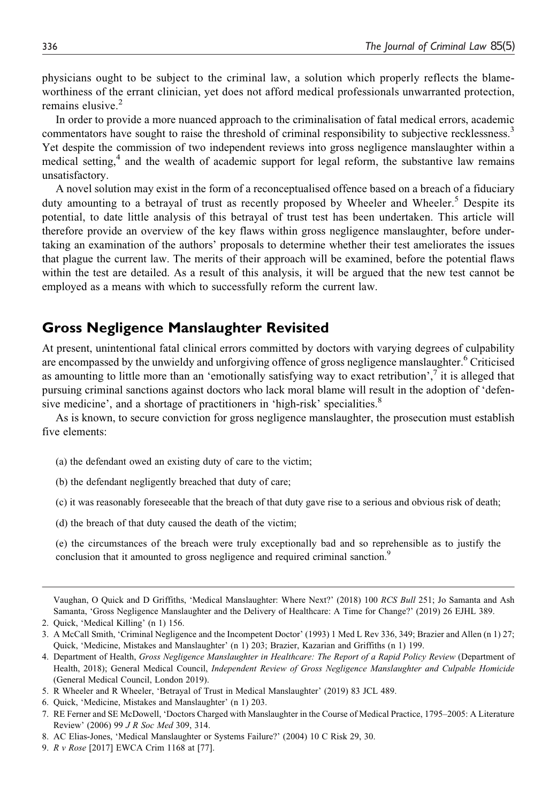physicians ought to be subject to the criminal law, a solution which properly reflects the blameworthiness of the errant clinician, yet does not afford medical professionals unwarranted protection, remains elusive.<sup>2</sup>

In order to provide a more nuanced approach to the criminalisation of fatal medical errors, academic commentators have sought to raise the threshold of criminal responsibility to subjective recklessness.3 Yet despite the commission of two independent reviews into gross negligence manslaughter within a medical setting, $4$  and the wealth of academic support for legal reform, the substantive law remains unsatisfactory.

A novel solution may exist in the form of a reconceptualised offence based on a breach of a fiduciary duty amounting to a betrayal of trust as recently proposed by Wheeler and Wheeler.<sup>5</sup> Despite its potential, to date little analysis of this betrayal of trust test has been undertaken. This article will therefore provide an overview of the key flaws within gross negligence manslaughter, before undertaking an examination of the authors' proposals to determine whether their test ameliorates the issues that plague the current law. The merits of their approach will be examined, before the potential flaws within the test are detailed. As a result of this analysis, it will be argued that the new test cannot be employed as a means with which to successfully reform the current law.

#### **Gross Negligence Manslaughter Revisited**

At present, unintentional fatal clinical errors committed by doctors with varying degrees of culpability are encompassed by the unwieldy and unforgiving offence of gross negligence manslaughter.<sup>6</sup> Criticised as amounting to little more than an 'emotionally satisfying way to exact retribution', $\frac{7}{1}$  it is alleged that pursuing criminal sanctions against doctors who lack moral blame will result in the adoption of 'defensive medicine', and a shortage of practitioners in 'high-risk' specialities.<sup>8</sup>

As is known, to secure conviction for gross negligence manslaughter, the prosecution must establish five elements:

- (a) the defendant owed an existing duty of care to the victim;
- (b) the defendant negligently breached that duty of care;
- (c) it was reasonably foreseeable that the breach of that duty gave rise to a serious and obvious risk of death;
- (d) the breach of that duty caused the death of the victim;

(e) the circumstances of the breach were truly exceptionally bad and so reprehensible as to justify the conclusion that it amounted to gross negligence and required criminal sanction.<sup>9</sup>

Vaughan, O Quick and D Griffiths, 'Medical Manslaughter: Where Next?' (2018) 100 RCS Bull 251; Jo Samanta and Ash Samanta, 'Gross Negligence Manslaughter and the Delivery of Healthcare: A Time for Change?' (2019) 26 EJHL 389.

<sup>2.</sup> Quick, 'Medical Killing' (n 1) 156.

<sup>3.</sup> A McCall Smith, 'Criminal Negligence and the Incompetent Doctor' (1993) 1 Med L Rev 336, 349; Brazier and Allen (n 1) 27; Quick, 'Medicine, Mistakes and Manslaughter' (n 1) 203; Brazier, Kazarian and Griffiths (n 1) 199.

<sup>4.</sup> Department of Health, Gross Negligence Manslaughter in Healthcare: The Report of a Rapid Policy Review (Department of Health, 2018); General Medical Council, Independent Review of Gross Negligence Manslaughter and Culpable Homicide (General Medical Council, London 2019).

<sup>5.</sup> R Wheeler and R Wheeler, 'Betrayal of Trust in Medical Manslaughter' (2019) 83 JCL 489.

<sup>6.</sup> Quick, 'Medicine, Mistakes and Manslaughter' (n 1) 203.

<sup>7.</sup> RE Ferner and SE McDowell, 'Doctors Charged with Manslaughter in the Course of Medical Practice, 1795–2005: A Literature Review' (2006) 99 J R Soc Med 309, 314.

<sup>8.</sup> AC Elias-Jones, 'Medical Manslaughter or Systems Failure?' (2004) 10 C Risk 29, 30.

<sup>9.</sup> R v Rose [2017] EWCA Crim 1168 at [77].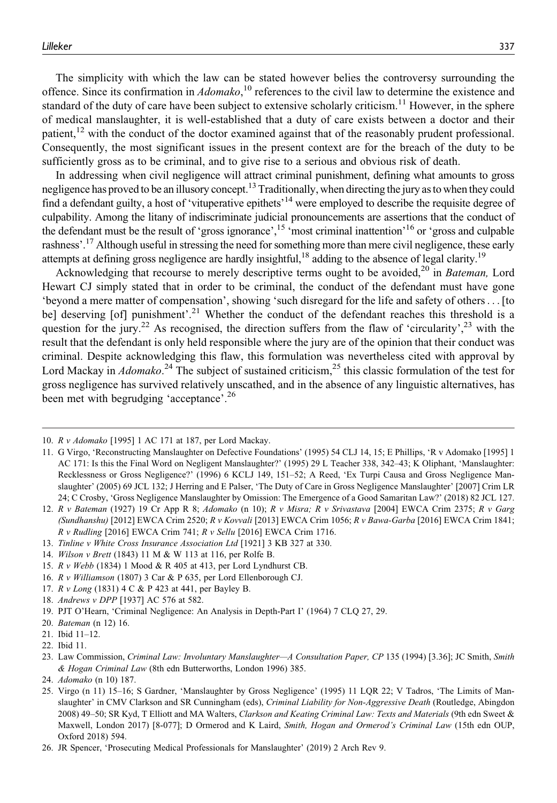The simplicity with which the law can be stated however belies the controversy surrounding the offence. Since its confirmation in  $Adomako$ ,  $^{10}$  references to the civil law to determine the existence and standard of the duty of care have been subject to extensive scholarly criticism.<sup>11</sup> However, in the sphere of medical manslaughter, it is well-established that a duty of care exists between a doctor and their patient,<sup>12</sup> with the conduct of the doctor examined against that of the reasonably prudent professional. Consequently, the most significant issues in the present context are for the breach of the duty to be sufficiently gross as to be criminal, and to give rise to a serious and obvious risk of death.

In addressing when civil negligence will attract criminal punishment, defining what amounts to gross negligence has proved to be an illusory concept.<sup>13</sup> Traditionally, when directing the jury as to when they could find a defendant guilty, a host of 'vituperative epithets'<sup>14</sup> were employed to describe the requisite degree of culpability. Among the litany of indiscriminate judicial pronouncements are assertions that the conduct of the defendant must be the result of 'gross ignorance',<sup>15</sup> 'most criminal inattention'<sup>16</sup> or 'gross and culpable rashness'.17 Although useful in stressing the need for something more than mere civil negligence, these early attempts at defining gross negligence are hardly insightful,<sup>18</sup> adding to the absence of legal clarity.<sup>19</sup>

Acknowledging that recourse to merely descriptive terms ought to be avoided,<sup>20</sup> in *Bateman*, Lord Hewart CJ simply stated that in order to be criminal, the conduct of the defendant must have gone 'beyond a mere matter of compensation', showing 'such disregard for the life and safety of others... [to be] deserving [of] punishment'.<sup>21</sup> Whether the conduct of the defendant reaches this threshold is a question for the jury.<sup>22</sup> As recognised, the direction suffers from the flaw of 'circularity',<sup>23</sup> with the result that the defendant is only held responsible where the jury are of the opinion that their conduct was criminal. Despite acknowledging this flaw, this formulation was nevertheless cited with approval by Lord Mackay in *Adomako*.<sup>24</sup> The subject of sustained criticism,<sup>25</sup> this classic formulation of the test for gross negligence has survived relatively unscathed, and in the absence of any linguistic alternatives, has been met with begrudging 'acceptance'.<sup>26</sup>

- 16. R v Williamson (1807) 3 Car & P 635, per Lord Ellenborough CJ.
- 17. R v Long (1831) 4 C & P 423 at 441, per Bayley B.
- 18. Andrews v DPP [1937] AC 576 at 582.
- 19. PJT O'Hearn, 'Criminal Negligence: An Analysis in Depth-Part I' (1964) 7 CLQ 27, 29.
- 20. Bateman (n 12) 16.
- 21. Ibid 11–12.

<sup>10.</sup> R v Adomako [1995] 1 AC 171 at 187, per Lord Mackay.

<sup>11.</sup> G Virgo, 'Reconstructing Manslaughter on Defective Foundations' (1995) 54 CLJ 14, 15; E Phillips, 'R v Adomako [1995] 1 AC 171: Is this the Final Word on Negligent Manslaughter?' (1995) 29 L Teacher 338, 342–43; K Oliphant, 'Manslaughter: Recklessness or Gross Negligence?' (1996) 6 KCLJ 149, 151–52; A Reed, 'Ex Turpi Causa and Gross Negligence Manslaughter' (2005) 69 JCL 132; J Herring and E Palser, 'The Duty of Care in Gross Negligence Manslaughter' [2007] Crim LR 24; C Crosby, 'Gross Negligence Manslaughter by Omission: The Emergence of a Good Samaritan Law?' (2018) 82 JCL 127.

<sup>12.</sup> R v Bateman (1927) 19 Cr App R 8; Adomako (n 10); R v Misra; R v Srivastava [2004] EWCA Crim 2375; R v Garg (Sundhanshu) [2012] EWCA Crim 2520; R v Kovvali [2013] EWCA Crim 1056; R v Bawa-Garba [2016] EWCA Crim 1841;  $R$  v Rudling [2016] EWCA Crim 741;  $R$  v Sellu [2016] EWCA Crim 1716.

<sup>13.</sup> Tinline v White Cross Insurance Association Ltd [1921] 3 KB 327 at 330.

<sup>14.</sup> Wilson v Brett (1843) 11 M & W 113 at 116, per Rolfe B.

<sup>15.</sup> R v Webb (1834) 1 Mood & R 405 at 413, per Lord Lyndhurst CB.

<sup>22.</sup> Ibid 11.

<sup>23.</sup> Law Commission, Criminal Law: Involuntary Manslaughter—A Consultation Paper, CP 135 (1994) [3.36]; JC Smith, Smith & Hogan Criminal Law (8th edn Butterworths, London 1996) 385.

<sup>24.</sup> Adomako (n 10) 187.

<sup>25.</sup> Virgo (n 11) 15–16; S Gardner, 'Manslaughter by Gross Negligence' (1995) 11 LQR 22; V Tadros, 'The Limits of Manslaughter' in CMV Clarkson and SR Cunningham (eds), Criminal Liability for Non-Aggressive Death (Routledge, Abingdon 2008) 49–50; SR Kyd, T Elliott and MA Walters, Clarkson and Keating Criminal Law: Texts and Materials (9th edn Sweet & Maxwell, London 2017) [8-077]; D Ormerod and K Laird, Smith, Hogan and Ormerod's Criminal Law (15th edn OUP, Oxford 2018) 594.

<sup>26.</sup> JR Spencer, 'Prosecuting Medical Professionals for Manslaughter' (2019) 2 Arch Rev 9.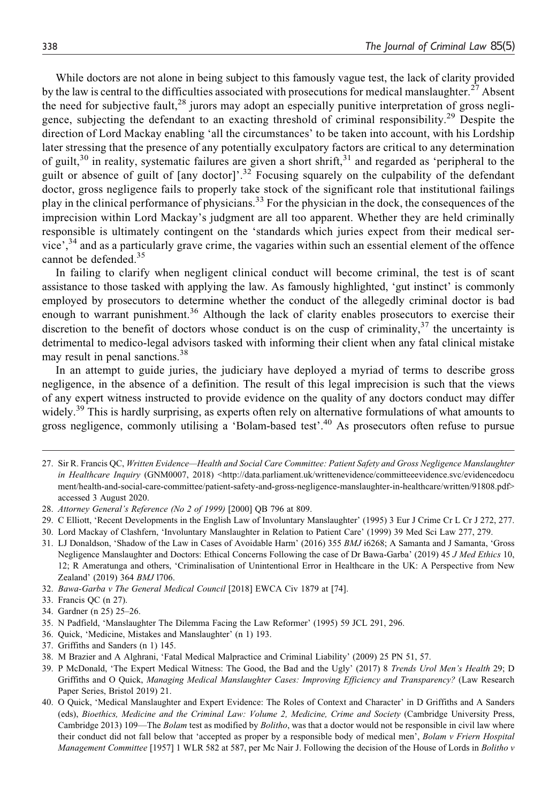While doctors are not alone in being subject to this famously vague test, the lack of clarity provided by the law is central to the difficulties associated with prosecutions for medical manslaughter.<sup>27</sup> Absent the need for subjective fault,  $28$  jurors may adopt an especially punitive interpretation of gross negligence, subjecting the defendant to an exacting threshold of criminal responsibility.<sup>29</sup> Despite the direction of Lord Mackay enabling 'all the circumstances' to be taken into account, with his Lordship later stressing that the presence of any potentially exculpatory factors are critical to any determination of guilt,<sup>30</sup> in reality, systematic failures are given a short shrift,<sup>31</sup> and regarded as 'peripheral to the guilt or absence of guilt of [any doctor]'.<sup>32</sup> Focusing squarely on the culpability of the defendant doctor, gross negligence fails to properly take stock of the significant role that institutional failings play in the clinical performance of physicians.<sup>33</sup> For the physician in the dock, the consequences of the imprecision within Lord Mackay's judgment are all too apparent. Whether they are held criminally responsible is ultimately contingent on the 'standards which juries expect from their medical service',<sup>34</sup> and as a particularly grave crime, the vagaries within such an essential element of the offence cannot be defended.<sup>35</sup>

In failing to clarify when negligent clinical conduct will become criminal, the test is of scant assistance to those tasked with applying the law. As famously highlighted, 'gut instinct' is commonly employed by prosecutors to determine whether the conduct of the allegedly criminal doctor is bad enough to warrant punishment.<sup>36</sup> Although the lack of clarity enables prosecutors to exercise their discretion to the benefit of doctors whose conduct is on the cusp of criminality, $3^7$  the uncertainty is detrimental to medico-legal advisors tasked with informing their client when any fatal clinical mistake may result in penal sanctions.<sup>38</sup>

In an attempt to guide juries, the judiciary have deployed a myriad of terms to describe gross negligence, in the absence of a definition. The result of this legal imprecision is such that the views of any expert witness instructed to provide evidence on the quality of any doctors conduct may differ widely.<sup>39</sup> This is hardly surprising, as experts often rely on alternative formulations of what amounts to gross negligence, commonly utilising a 'Bolam-based test'.<sup>40</sup> As prosecutors often refuse to pursue

- 27. Sir R. Francis QC, Written Evidence—Health and Social Care Committee: Patient Safety and Gross Negligence Manslaughter in Healthcare Inquiry (GNM0007, 2018) [<http://data.parliament.uk/writtenevidence/committeeevidence.svc/evidencedocu](http://data.parliament.uk/writtenevidence/committeeevidence.svc/evidencedocument/health-and-social-care-committee/patient-safety-and-gross-negligence-manslaughter-in-healthcare/written/91808.pdf) [ment/health-and-social-care-committee/patient-safety-and-gross-negligence-manslaughter-in-healthcare/written/91808.pdf](http://data.parliament.uk/writtenevidence/committeeevidence.svc/evidencedocument/health-and-social-care-committee/patient-safety-and-gross-negligence-manslaughter-in-healthcare/written/91808.pdf)> accessed 3 August 2020.
- 28. Attorney General's Reference (No 2 of 1999) [2000] QB 796 at 809.
- 29. C Elliott, 'Recent Developments in the English Law of Involuntary Manslaughter' (1995) 3 Eur J Crime Cr L Cr J 272, 277.
- 30. Lord Mackay of Clashfern, 'Involuntary Manslaughter in Relation to Patient Care' (1999) 39 Med Sci Law 277, 279.
- 31. LJ Donaldson, 'Shadow of the Law in Cases of Avoidable Harm' (2016) 355 BMJ i6268; A Samanta and J Samanta, 'Gross Negligence Manslaughter and Doctors: Ethical Concerns Following the case of Dr Bawa-Garba' (2019) 45 J Med Ethics 10, 12; R Ameratunga and others, 'Criminalisation of Unintentional Error in Healthcare in the UK: A Perspective from New Zealand' (2019) 364 BMJ l706.
- 32. Bawa-Garba v The General Medical Council [2018] EWCA Civ 1879 at [74].
- 33. Francis QC (n 27).
- 34. Gardner (n 25) 25–26.
- 35. N Padfield, 'Manslaughter The Dilemma Facing the Law Reformer' (1995) 59 JCL 291, 296.
- 36. Quick, 'Medicine, Mistakes and Manslaughter' (n 1) 193.
- 37. Griffiths and Sanders (n 1) 145.
- 38. M Brazier and A Alghrani, 'Fatal Medical Malpractice and Criminal Liability' (2009) 25 PN 51, 57.
- 39. P McDonald, 'The Expert Medical Witness: The Good, the Bad and the Ugly' (2017) 8 Trends Urol Men's Health 29; D Griffiths and O Quick, Managing Medical Manslaughter Cases: Improving Efficiency and Transparency? (Law Research Paper Series, Bristol 2019) 21.
- 40. O Quick, 'Medical Manslaughter and Expert Evidence: The Roles of Context and Character' in D Griffiths and A Sanders (eds), Bioethics, Medicine and the Criminal Law: Volume 2, Medicine, Crime and Society (Cambridge University Press, Cambridge 2013) 109—The Bolam test as modified by Bolitho, was that a doctor would not be responsible in civil law where their conduct did not fall below that 'accepted as proper by a responsible body of medical men', Bolam v Friern Hospital Management Committee [1957] 1 WLR 582 at 587, per Mc Nair J. Following the decision of the House of Lords in Bolitho v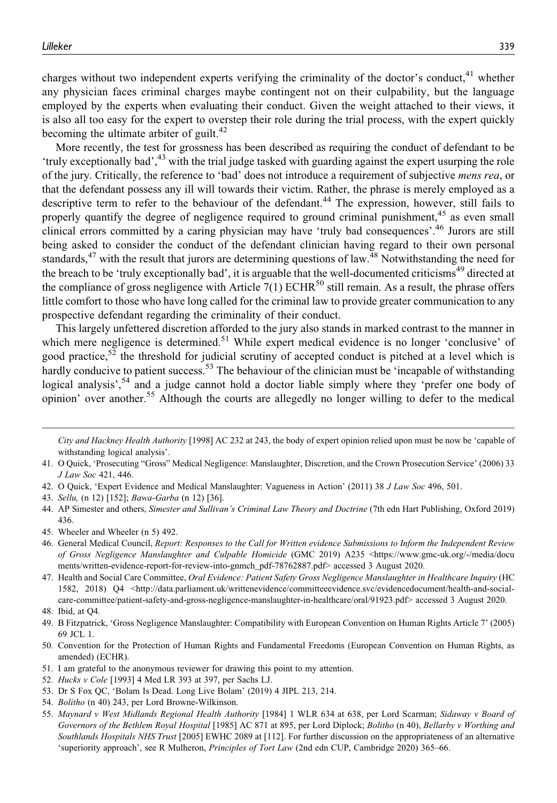charges without two independent experts verifying the criminality of the doctor's conduct,<sup>41</sup> whether any physician faces criminal charges maybe contingent not on their culpability, but the language employed by the experts when evaluating their conduct. Given the weight attached to their views, it is also all too easy for the expert to overstep their role during the trial process, with the expert quickly becoming the ultimate arbiter of guilt. $42$ 

More recently, the test for grossness has been described as requiring the conduct of defendant to be 'truly exceptionally bad',<sup>43</sup> with the trial judge tasked with guarding against the expert usurping the role of the jury. Critically, the reference to 'bad' does not introduce a requirement of subjective mens rea, or that the defendant possess any ill will towards their victim. Rather, the phrase is merely employed as a descriptive term to refer to the behaviour of the defendant.<sup>44</sup> The expression, however, still fails to properly quantify the degree of negligence required to ground criminal punishment, $45$  as even small clinical errors committed by a caring physician may have 'truly bad consequences'.<sup>46</sup> Jurors are still being asked to consider the conduct of the defendant clinician having regard to their own personal standards, $47$  with the result that jurors are determining questions of law. $48$  Notwithstanding the need for the breach to be 'truly exceptionally bad', it is arguable that the well-documented criticisms<sup>49</sup> directed at the compliance of gross negligence with Article 7(1) ECHR<sup>50</sup> still remain. As a result, the phrase offers little comfort to those who have long called for the criminal law to provide greater communication to any prospective defendant regarding the criminality of their conduct.

This largely unfettered discretion afforded to the jury also stands in marked contrast to the manner in which mere negligence is determined.<sup>51</sup> While expert medical evidence is no longer 'conclusive' of good practice,<sup>52</sup> the threshold for judicial scrutiny of accepted conduct is pitched at a level which is hardly conducive to patient success.<sup>53</sup> The behaviour of the clinician must be 'incapable of withstanding logical analysis',<sup>54</sup> and a judge cannot hold a doctor liable simply where they 'prefer one body of opinion' over another.<sup>55</sup> Although the courts are allegedly no longer willing to defer to the medical

- 42. O Quick, 'Expert Evidence and Medical Manslaughter: Vagueness in Action' (2011) 38 J Law Soc 496, 501.
- 43. Sellu, (n 12) [152]; Bawa-Garba (n 12) [36].
- 44. AP Simester and others, Simester and Sullivan's Criminal Law Theory and Doctrine (7th edn Hart Publishing, Oxford 2019) 436.
- 45. Wheeler and Wheeler (n 5) 492.
- 46. General Medical Council, Report: Responses to the Call for Written evidence Submissions to Inform the Independent Review of Gross Negligence Manslaughter and Culpable Homicide (GMC 2019) A235 <[https://www.gmc-uk.org/-/media/docu](https://www.gmc-uk.org/-/media/documents/written-evidence-report-for-review-into-gnmch_pdf-78762887.pdf) [ments/written-evidence-report-for-review-into-gnmch\\_pdf-78762887.pdf](https://www.gmc-uk.org/-/media/documents/written-evidence-report-for-review-into-gnmch_pdf-78762887.pdf)> accessed 3 August 2020.
- 47. Health and Social Care Committee, Oral Evidence: Patient Safety Gross Negligence Manslaughter in Healthcare Inquiry (HC 1582, 2018) Q4 <[http://data.parliament.uk/writtenevidence/committeeevidence.svc/evidencedocument/health-and-social](http://data.parliament.uk/writtenevidence/committeeevidence.svc/evidencedocument/health-and-social-care-committee/patient-safety-and-gross-negligence-manslaughter-in-healthcare/oral/91923.pdf)[care-committee/patient-safety-and-gross-negligence-manslaughter-in-healthcare/oral/91923.pdf>](http://data.parliament.uk/writtenevidence/committeeevidence.svc/evidencedocument/health-and-social-care-committee/patient-safety-and-gross-negligence-manslaughter-in-healthcare/oral/91923.pdf) accessed 3 August 2020.
- 48. Ibid, at Q4.

- 50. Convention for the Protection of Human Rights and Fundamental Freedoms (European Convention on Human Rights, as amended) (ECHR).
- 51. I am grateful to the anonymous reviewer for drawing this point to my attention.
- 52. Hucks v Cole [1993] 4 Med LR 393 at 397, per Sachs LJ.
- 53. Dr S Fox QC, 'Bolam Is Dead. Long Live Bolam' (2019) 4 JIPL 213, 214.
- 54. Bolitho (n 40) 243, per Lord Browne-Wilkinson.
- 55. Maynard v West Midlands Regional Health Authority [1984] 1 WLR 634 at 638, per Lord Scarman; Sidaway v Board of Governors of the Bethlem Royal Hospital [1985] AC 871 at 895, per Lord Diplock; Bolitho (n 40), Bellarby v Worthing and Southlands Hospitals NHS Trust [2005] EWHC 2089 at [112]. For further discussion on the appropriateness of an alternative 'superiority approach', see R Mulheron, Principles of Tort Law (2nd edn CUP, Cambridge 2020) 365–66.

City and Hackney Health Authority [1998] AC 232 at 243, the body of expert opinion relied upon must be now be 'capable of withstanding logical analysis'.

<sup>41.</sup> O Quick, 'Prosecuting "Gross" Medical Negligence: Manslaughter, Discretion, and the Crown Prosecution Service' (2006) 33 J Law Soc 421, 446.

<sup>49.</sup> B Fitzpatrick, 'Gross Negligence Manslaughter: Compatibility with European Convention on Human Rights Article 7' (2005) 69 JCL 1.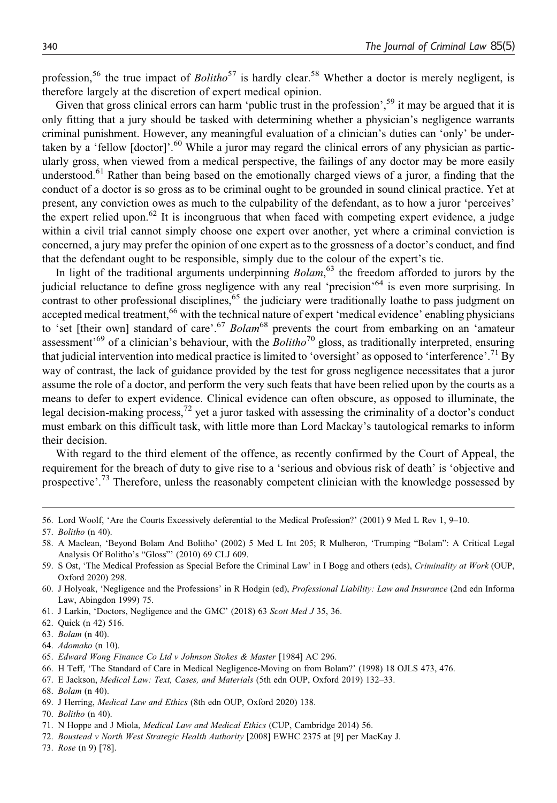profession,<sup>56</sup> the true impact of *Bolitho*<sup>57</sup> is hardly clear.<sup>58</sup> Whether a doctor is merely negligent, is therefore largely at the discretion of expert medical opinion.

Given that gross clinical errors can harm 'public trust in the profession',<sup>59</sup> it may be argued that it is only fitting that a jury should be tasked with determining whether a physician's negligence warrants criminal punishment. However, any meaningful evaluation of a clinician's duties can 'only' be undertaken by a 'fellow [doctor]'.<sup>60</sup> While a juror may regard the clinical errors of any physician as particularly gross, when viewed from a medical perspective, the failings of any doctor may be more easily understood.<sup>61</sup> Rather than being based on the emotionally charged views of a juror, a finding that the conduct of a doctor is so gross as to be criminal ought to be grounded in sound clinical practice. Yet at present, any conviction owes as much to the culpability of the defendant, as to how a juror 'perceives' the expert relied upon.<sup>62</sup> It is incongruous that when faced with competing expert evidence, a judge within a civil trial cannot simply choose one expert over another, yet where a criminal conviction is concerned, a jury may prefer the opinion of one expert as to the grossness of a doctor's conduct, and find that the defendant ought to be responsible, simply due to the colour of the expert's tie.

In light of the traditional arguments underpinning *Bolam*,<sup>63</sup> the freedom afforded to jurors by the judicial reluctance to define gross negligence with any real 'precision'64 is even more surprising. In contrast to other professional disciplines,  $65$  the judiciary were traditionally loathe to pass judgment on accepted medical treatment,<sup>66</sup> with the technical nature of expert 'medical evidence' enabling physicians to 'set [their own] standard of care'.<sup>67</sup> Bolam<sup>68</sup> prevents the court from embarking on an 'amateur assessment<sup> $69$ </sup> of a clinician's behaviour, with the *Bolitho*<sup>70</sup> gloss, as traditionally interpreted, ensuring that judicial intervention into medical practice is limited to 'oversight' as opposed to 'interference'.<sup>71</sup> By way of contrast, the lack of guidance provided by the test for gross negligence necessitates that a juror assume the role of a doctor, and perform the very such feats that have been relied upon by the courts as a means to defer to expert evidence. Clinical evidence can often obscure, as opposed to illuminate, the legal decision-making process,<sup>72</sup> yet a juror tasked with assessing the criminality of a doctor's conduct must embark on this difficult task, with little more than Lord Mackay's tautological remarks to inform their decision.

With regard to the third element of the offence, as recently confirmed by the Court of Appeal, the requirement for the breach of duty to give rise to a 'serious and obvious risk of death' is 'objective and prospective'.<sup>73</sup> Therefore, unless the reasonably competent clinician with the knowledge possessed by

- 65. Edward Wong Finance Co Ltd v Johnson Stokes & Master [1984] AC 296.
- 66. H Teff, 'The Standard of Care in Medical Negligence-Moving on from Bolam?' (1998) 18 OJLS 473, 476.
- 67. E Jackson, Medical Law: Text, Cases, and Materials (5th edn OUP, Oxford 2019) 132–33.
- 68. Bolam (n 40).

70. Bolitho (n 40).

72. Boustead v North West Strategic Health Authority [2008] EWHC 2375 at [9] per MacKay J.

<sup>56.</sup> Lord Woolf, 'Are the Courts Excessively deferential to the Medical Profession?' (2001) 9 Med L Rev 1, 9–10.

<sup>57.</sup> Bolitho (n 40).

<sup>58.</sup> A Maclean, 'Beyond Bolam And Bolitho' (2002) 5 Med L Int 205; R Mulheron, 'Trumping "Bolam": A Critical Legal Analysis Of Bolitho's "Gloss"' (2010) 69 CLJ 609.

<sup>59.</sup> S Ost, 'The Medical Profession as Special Before the Criminal Law' in I Bogg and others (eds), Criminality at Work (OUP, Oxford 2020) 298.

<sup>60.</sup> J Holyoak, 'Negligence and the Professions' in R Hodgin (ed), Professional Liability: Law and Insurance (2nd edn Informa Law, Abingdon 1999) 75.

<sup>61.</sup> J Larkin, 'Doctors, Negligence and the GMC' (2018) 63 Scott Med J 35, 36.

<sup>62.</sup> Quick (n 42) 516.

<sup>63.</sup> Bolam (n 40).

<sup>64.</sup> Adomako (n 10).

<sup>69.</sup> J Herring, Medical Law and Ethics (8th edn OUP, Oxford 2020) 138.

<sup>71.</sup> N Hoppe and J Miola, Medical Law and Medical Ethics (CUP, Cambridge 2014) 56.

<sup>73.</sup> Rose (n 9) [78].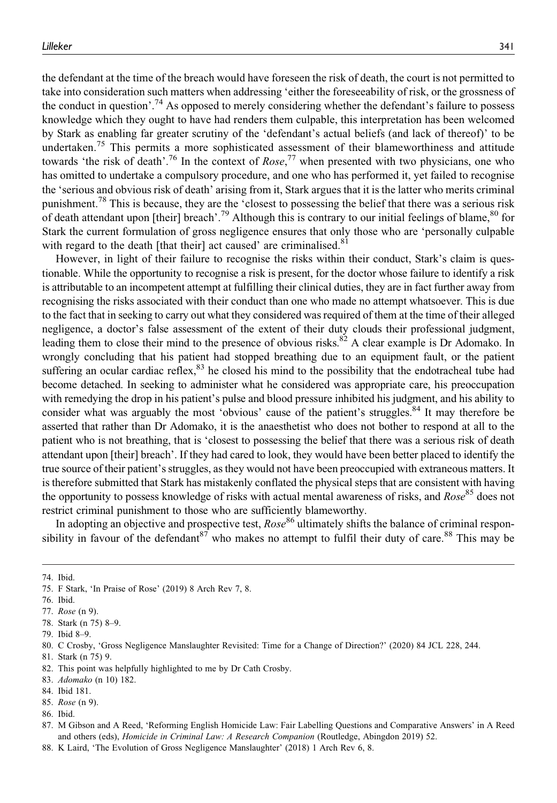the defendant at the time of the breach would have foreseen the risk of death, the court is not permitted to take into consideration such matters when addressing 'either the foreseeability of risk, or the grossness of the conduct in question'.<sup>74</sup> As opposed to merely considering whether the defendant's failure to possess knowledge which they ought to have had renders them culpable, this interpretation has been welcomed by Stark as enabling far greater scrutiny of the 'defendant's actual beliefs (and lack of thereof)' to be undertaken.<sup>75</sup> This permits a more sophisticated assessment of their blameworthiness and attitude towards 'the risk of death'.<sup>76</sup> In the context of  $Rose$ ,<sup>77</sup> when presented with two physicians, one who has omitted to undertake a compulsory procedure, and one who has performed it, yet failed to recognise the 'serious and obvious risk of death' arising from it, Stark argues that it is the latter who merits criminal punishment.<sup>78</sup> This is because, they are the 'closest to possessing the belief that there was a serious risk of death attendant upon [their] breach'.<sup>79</sup> Although this is contrary to our initial feelings of blame,<sup>80</sup> for Stark the current formulation of gross negligence ensures that only those who are 'personally culpable with regard to the death [that their] act caused' are criminalised.<sup>81</sup>

However, in light of their failure to recognise the risks within their conduct, Stark's claim is questionable. While the opportunity to recognise a risk is present, for the doctor whose failure to identify a risk is attributable to an incompetent attempt at fulfilling their clinical duties, they are in fact further away from recognising the risks associated with their conduct than one who made no attempt whatsoever. This is due to the fact that in seeking to carry out what they considered was required of them at the time of their alleged negligence, a doctor's false assessment of the extent of their duty clouds their professional judgment, leading them to close their mind to the presence of obvious risks.<sup>82</sup> A clear example is Dr Adomako. In wrongly concluding that his patient had stopped breathing due to an equipment fault, or the patient suffering an ocular cardiac reflex,<sup>83</sup> he closed his mind to the possibility that the endotracheal tube had become detached. In seeking to administer what he considered was appropriate care, his preoccupation with remedying the drop in his patient's pulse and blood pressure inhibited his judgment, and his ability to consider what was arguably the most 'obvious' cause of the patient's struggles.<sup>84</sup> It may therefore be asserted that rather than Dr Adomako, it is the anaesthetist who does not bother to respond at all to the patient who is not breathing, that is 'closest to possessing the belief that there was a serious risk of death attendant upon [their] breach'. If they had cared to look, they would have been better placed to identify the true source of their patient's struggles, as they would not have been preoccupied with extraneous matters. It is therefore submitted that Stark has mistakenly conflated the physical steps that are consistent with having the opportunity to possess knowledge of risks with actual mental awareness of risks, and  $Rose^{85}$  does not restrict criminal punishment to those who are sufficiently blameworthy.

In adopting an objective and prospective test,  $Rose^{86}$  ultimately shifts the balance of criminal responsibility in favour of the defendant<sup>87</sup> who makes no attempt to fulfil their duty of care.<sup>88</sup> This may be

- 81. Stark (n 75) 9.
- 82. This point was helpfully highlighted to me by Dr Cath Crosby.
- 83. Adomako (n 10) 182.
- 84. Ibid 181.
- 85. Rose (n 9).

<sup>74.</sup> Ibid.

<sup>75.</sup> F Stark, 'In Praise of Rose' (2019) 8 Arch Rev 7, 8.

<sup>76.</sup> Ibid.

<sup>77.</sup> Rose (n 9).

<sup>78.</sup> Stark (n 75) 8–9.

<sup>79.</sup> Ibid 8–9.

<sup>80.</sup> C Crosby, 'Gross Negligence Manslaughter Revisited: Time for a Change of Direction?' (2020) 84 JCL 228, 244.

<sup>86.</sup> Ibid.

<sup>87.</sup> M Gibson and A Reed, 'Reforming English Homicide Law: Fair Labelling Questions and Comparative Answers' in A Reed and others (eds), Homicide in Criminal Law: A Research Companion (Routledge, Abingdon 2019) 52.

<sup>88.</sup> K Laird, 'The Evolution of Gross Negligence Manslaughter' (2018) 1 Arch Rev 6, 8.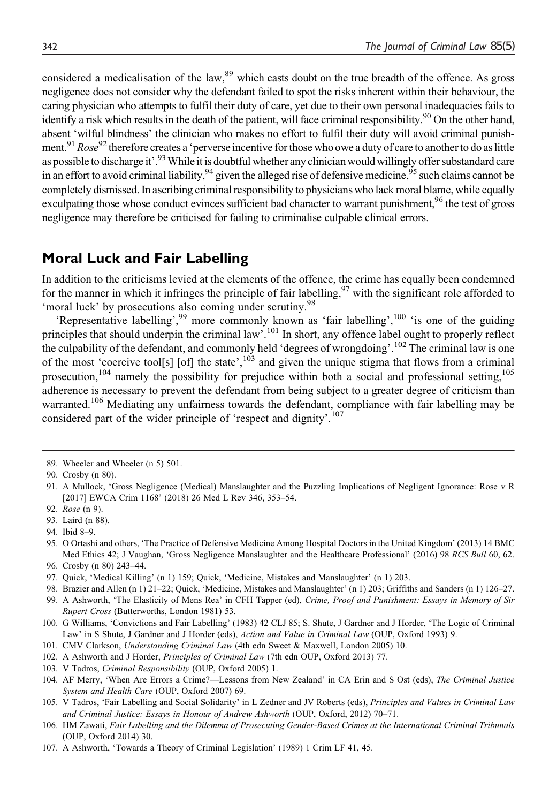considered a medicalisation of the law,<sup>89</sup> which casts doubt on the true breadth of the offence. As gross negligence does not consider why the defendant failed to spot the risks inherent within their behaviour, the caring physician who attempts to fulfil their duty of care, yet due to their own personal inadequacies fails to identify a risk which results in the death of the patient, will face criminal responsibility.<sup>90</sup> On the other hand, absent 'wilful blindness' the clinician who makes no effort to fulfil their duty will avoid criminal punishment.<sup>91</sup> Rose<sup>92</sup> therefore creates a 'perverse incentive for those who owe a duty of care to another to do as little as possible to discharge it'.<sup>93</sup> While it is doubtful whether any clinician would willingly offer substandard care in an effort to avoid criminal liability,  $94$  given the alleged rise of defensive medicine,  $95$  such claims cannot be completely dismissed. In ascribing criminal responsibility to physicians who lack moral blame, while equally exculpating those whose conduct evinces sufficient bad character to warrant punishment,<sup>96</sup> the test of gross negligence may therefore be criticised for failing to criminalise culpable clinical errors.

#### **Moral Luck and Fair Labelling**

In addition to the criticisms levied at the elements of the offence, the crime has equally been condemned for the manner in which it infringes the principle of fair labelling,  $97$  with the significant role afforded to 'moral luck' by prosecutions also coming under scrutiny.<sup>98</sup>

'Representative labelling',<sup>99</sup> more commonly known as 'fair labelling',<sup>100</sup> 'is one of the guiding principles that should underpin the criminal law'.<sup>101</sup> In short, any offence label ought to properly reflect the culpability of the defendant, and commonly held 'degrees of wrongdoing'.102 The criminal law is one of the most 'coercive tool[s] [of] the state', $103$  and given the unique stigma that flows from a criminal prosecution,<sup>104</sup> namely the possibility for prejudice within both a social and professional setting,<sup>105</sup> adherence is necessary to prevent the defendant from being subject to a greater degree of criticism than warranted.<sup>106</sup> Mediating any unfairness towards the defendant, compliance with fair labelling may be considered part of the wider principle of 'respect and dignity'.<sup>107</sup>

<sup>89.</sup> Wheeler and Wheeler (n 5) 501.

<sup>90.</sup> Crosby (n 80).

<sup>91.</sup> A Mullock, 'Gross Negligence (Medical) Manslaughter and the Puzzling Implications of Negligent Ignorance: Rose v R [2017] EWCA Crim 1168' (2018) 26 Med L Rev 346, 353–54.

<sup>92.</sup> Rose (n 9).

<sup>93.</sup> Laird (n 88).

<sup>94.</sup> Ibid 8–9.

<sup>95.</sup> O Ortashi and others, 'The Practice of Defensive Medicine Among Hospital Doctors in the United Kingdom' (2013) 14 BMC Med Ethics 42; J Vaughan, 'Gross Negligence Manslaughter and the Healthcare Professional' (2016) 98 RCS Bull 60, 62. 96. Crosby (n 80) 243–44.

<sup>97.</sup> Quick, 'Medical Killing' (n 1) 159; Quick, 'Medicine, Mistakes and Manslaughter' (n 1) 203.

<sup>98.</sup> Brazier and Allen (n 1) 21–22; Quick, 'Medicine, Mistakes and Manslaughter' (n 1) 203; Griffiths and Sanders (n 1) 126–27.

<sup>99.</sup> A Ashworth, 'The Elasticity of Mens Rea' in CFH Tapper (ed), Crime, Proof and Punishment: Essays in Memory of Sir Rupert Cross (Butterworths, London 1981) 53.

<sup>100.</sup> G Williams, 'Convictions and Fair Labelling' (1983) 42 CLJ 85; S. Shute, J Gardner and J Horder, 'The Logic of Criminal Law' in S Shute, J Gardner and J Horder (eds), Action and Value in Criminal Law (OUP, Oxford 1993) 9.

<sup>101.</sup> CMV Clarkson, Understanding Criminal Law (4th edn Sweet & Maxwell, London 2005) 10.

<sup>102.</sup> A Ashworth and J Horder, Principles of Criminal Law (7th edn OUP, Oxford 2013) 77.

<sup>103.</sup> V Tadros, Criminal Responsibility (OUP, Oxford 2005) 1.

<sup>104.</sup> AF Merry, 'When Are Errors a Crime?—Lessons from New Zealand' in CA Erin and S Ost (eds), The Criminal Justice System and Health Care (OUP, Oxford 2007) 69.

<sup>105.</sup> V Tadros, 'Fair Labelling and Social Solidarity' in L Zedner and JV Roberts (eds), Principles and Values in Criminal Law and Criminal Justice: Essays in Honour of Andrew Ashworth (OUP, Oxford, 2012) 70–71.

<sup>106.</sup> HM Zawati, Fair Labelling and the Dilemma of Prosecuting Gender-Based Crimes at the International Criminal Tribunals (OUP, Oxford 2014) 30.

<sup>107.</sup> A Ashworth, 'Towards a Theory of Criminal Legislation' (1989) 1 Crim LF 41, 45.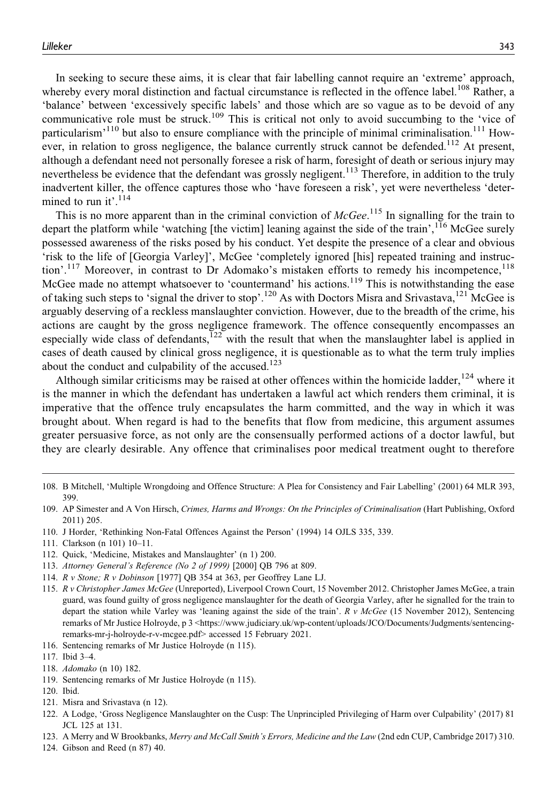In seeking to secure these aims, it is clear that fair labelling cannot require an 'extreme' approach, whereby every moral distinction and factual circumstance is reflected in the offence label.<sup>108</sup> Rather, a 'balance' between 'excessively specific labels' and those which are so vague as to be devoid of any communicative role must be struck.<sup>109</sup> This is critical not only to avoid succumbing to the 'vice of particularism<sup> $110$ </sup> but also to ensure compliance with the principle of minimal criminalisation.<sup>111</sup> However, in relation to gross negligence, the balance currently struck cannot be defended.<sup>112</sup> At present, although a defendant need not personally foresee a risk of harm, foresight of death or serious injury may nevertheless be evidence that the defendant was grossly negligent.<sup>113</sup> Therefore, in addition to the truly inadvertent killer, the offence captures those who 'have foreseen a risk', yet were nevertheless 'determined to run it'.<sup>114</sup>

This is no more apparent than in the criminal conviction of  $McGee$ .<sup>115</sup> In signalling for the train to depart the platform while 'watching [the victim] leaning against the side of the train',<sup>116</sup> McGee surely possessed awareness of the risks posed by his conduct. Yet despite the presence of a clear and obvious 'risk to the life of [Georgia Varley]', McGee 'completely ignored [his] repeated training and instruction'.<sup>117</sup> Moreover, in contrast to Dr Adomako's mistaken efforts to remedy his incompetence,<sup>118</sup> McGee made no attempt whatsoever to 'countermand' his actions.<sup>119</sup> This is notwithstanding the ease of taking such steps to 'signal the driver to stop'.<sup>120</sup> As with Doctors Misra and Srivastava,<sup>121</sup> McGee is arguably deserving of a reckless manslaughter conviction. However, due to the breadth of the crime, his actions are caught by the gross negligence framework. The offence consequently encompasses an especially wide class of defendants, $122$  with the result that when the manslaughter label is applied in cases of death caused by clinical gross negligence, it is questionable as to what the term truly implies about the conduct and culpability of the accused.<sup>123</sup>

Although similar criticisms may be raised at other offences within the homicide ladder,  $124$  where it is the manner in which the defendant has undertaken a lawful act which renders them criminal, it is imperative that the offence truly encapsulates the harm committed, and the way in which it was brought about. When regard is had to the benefits that flow from medicine, this argument assumes greater persuasive force, as not only are the consensually performed actions of a doctor lawful, but they are clearly desirable. Any offence that criminalises poor medical treatment ought to therefore

114. R v Stone; R v Dobinson [1977] QB 354 at 363, per Geoffrey Lane LJ.

- 116. Sentencing remarks of Mr Justice Holroyde (n 115).
- 117. Ibid 3–4.
- 118. Adomako (n 10) 182.
- 119. Sentencing remarks of Mr Justice Holroyde (n 115).
- 120. Ibid.
- 121. Misra and Srivastava (n 12).
- 122. A Lodge, 'Gross Negligence Manslaughter on the Cusp: The Unprincipled Privileging of Harm over Culpability' (2017) 81 JCL 125 at 131.
- 123. A Merry and W Brookbanks, Merry and McCall Smith's Errors, Medicine and the Law (2nd edn CUP, Cambridge 2017) 310.
- 124. Gibson and Reed (n 87) 40.

<sup>108.</sup> B Mitchell, 'Multiple Wrongdoing and Offence Structure: A Plea for Consistency and Fair Labelling' (2001) 64 MLR 393, 399.

<sup>109.</sup> AP Simester and A Von Hirsch, Crimes, Harms and Wrongs: On the Principles of Criminalisation (Hart Publishing, Oxford 2011) 205.

<sup>110.</sup> J Horder, 'Rethinking Non-Fatal Offences Against the Person' (1994) 14 OJLS 335, 339.

<sup>111.</sup> Clarkson (n 101) 10–11.

<sup>112.</sup> Quick, 'Medicine, Mistakes and Manslaughter' (n 1) 200.

<sup>113.</sup> Attorney General's Reference (No 2 of 1999) [2000] QB 796 at 809.

<sup>115.</sup> R v Christopher James McGee (Unreported), Liverpool Crown Court, 15 November 2012. Christopher James McGee, a train guard, was found guilty of gross negligence manslaughter for the death of Georgia Varley, after he signalled for the train to depart the station while Varley was 'leaning against the side of the train'. R v McGee (15 November 2012), Sentencing remarks of Mr Justice Holroyde, p 3 [<https://www.judiciary.uk/wp-content/uploads/JCO/Documents/Judgments/sentencing](https://www.judiciary.uk/wp-content/uploads/JCO/Documents/Judgments/sentencing-remarks-mr-j-holroyde-r-v-mcgee.pdf)[remarks-mr-j-holroyde-r-v-mcgee.pdf](https://www.judiciary.uk/wp-content/uploads/JCO/Documents/Judgments/sentencing-remarks-mr-j-holroyde-r-v-mcgee.pdf)> accessed 15 February 2021.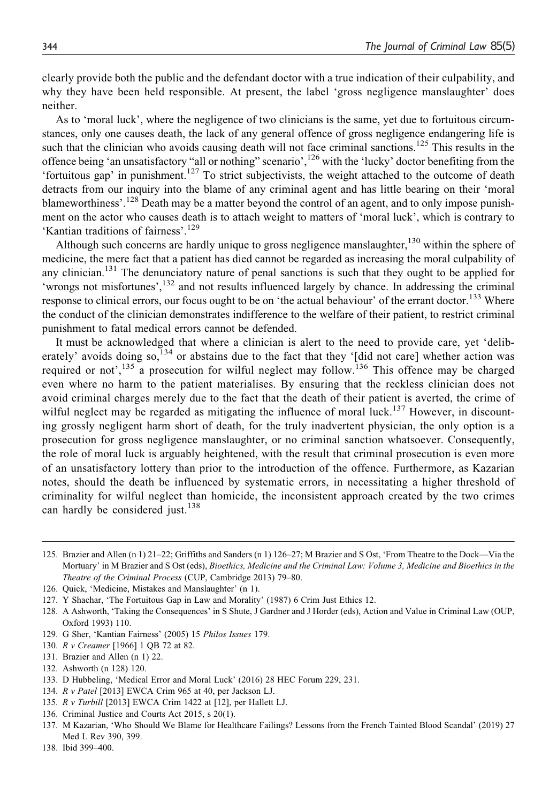clearly provide both the public and the defendant doctor with a true indication of their culpability, and why they have been held responsible. At present, the label 'gross negligence manslaughter' does neither.

As to 'moral luck', where the negligence of two clinicians is the same, yet due to fortuitous circumstances, only one causes death, the lack of any general offence of gross negligence endangering life is such that the clinician who avoids causing death will not face criminal sanctions.<sup>125</sup> This results in the offence being 'an unsatisfactory "all or nothing" scenario',<sup>126</sup> with the 'lucky' doctor benefiting from the 'fortuitous gap' in punishment.<sup>127</sup> To strict subjectivists, the weight attached to the outcome of death detracts from our inquiry into the blame of any criminal agent and has little bearing on their 'moral blameworthiness'.<sup>128</sup> Death may be a matter beyond the control of an agent, and to only impose punishment on the actor who causes death is to attach weight to matters of 'moral luck', which is contrary to 'Kantian traditions of fairness'.<sup>129</sup>

Although such concerns are hardly unique to gross negligence manslaughter,  $130$  within the sphere of medicine, the mere fact that a patient has died cannot be regarded as increasing the moral culpability of any clinician.<sup>131</sup> The denunciatory nature of penal sanctions is such that they ought to be applied for 'wrongs not misfortunes',<sup>132</sup> and not results influenced largely by chance. In addressing the criminal response to clinical errors, our focus ought to be on 'the actual behaviour' of the errant doctor.<sup>133</sup> Where the conduct of the clinician demonstrates indifference to the welfare of their patient, to restrict criminal punishment to fatal medical errors cannot be defended.

It must be acknowledged that where a clinician is alert to the need to provide care, yet 'deliberately' avoids doing so,<sup>134</sup> or abstains due to the fact that they '[did not care] whether action was required or not',<sup>135</sup> a prosecution for wilful neglect may follow.<sup>136</sup> This offence may be charged even where no harm to the patient materialises. By ensuring that the reckless clinician does not avoid criminal charges merely due to the fact that the death of their patient is averted, the crime of wilful neglect may be regarded as mitigating the influence of moral luck.<sup>137</sup> However, in discounting grossly negligent harm short of death, for the truly inadvertent physician, the only option is a prosecution for gross negligence manslaughter, or no criminal sanction whatsoever. Consequently, the role of moral luck is arguably heightened, with the result that criminal prosecution is even more of an unsatisfactory lottery than prior to the introduction of the offence. Furthermore, as Kazarian notes, should the death be influenced by systematic errors, in necessitating a higher threshold of criminality for wilful neglect than homicide, the inconsistent approach created by the two crimes can hardly be considered just.<sup>138</sup>

132. Ashworth (n 128) 120.

136. Criminal Justice and Courts Act 2015, s 20(1).

<sup>125.</sup> Brazier and Allen (n 1) 21–22; Griffiths and Sanders (n 1) 126–27; M Brazier and S Ost, 'From Theatre to the Dock—Via the Mortuary' in M Brazier and S Ost (eds), Bioethics, Medicine and the Criminal Law: Volume 3, Medicine and Bioethics in the Theatre of the Criminal Process (CUP, Cambridge 2013) 79–80.

<sup>126.</sup> Quick, 'Medicine, Mistakes and Manslaughter' (n 1).

<sup>127.</sup> Y Shachar, 'The Fortuitous Gap in Law and Morality' (1987) 6 Crim Just Ethics 12.

<sup>128.</sup> A Ashworth, 'Taking the Consequences' in S Shute, J Gardner and J Horder (eds), Action and Value in Criminal Law (OUP, Oxford 1993) 110.

<sup>129.</sup> G Sher, 'Kantian Fairness' (2005) 15 Philos Issues 179.

<sup>130.</sup> R v Creamer [1966] 1 QB 72 at 82.

<sup>131.</sup> Brazier and Allen (n 1) 22.

<sup>133.</sup> D Hubbeling, 'Medical Error and Moral Luck' (2016) 28 HEC Forum 229, 231.

<sup>134.</sup> R v Patel [2013] EWCA Crim 965 at 40, per Jackson LJ.

<sup>135.</sup> R v Turbill [2013] EWCA Crim 1422 at [12], per Hallett LJ.

<sup>137.</sup> M Kazarian, 'Who Should We Blame for Healthcare Failings? Lessons from the French Tainted Blood Scandal' (2019) 27 Med L Rev 390, 399.

<sup>138.</sup> Ibid 399–400.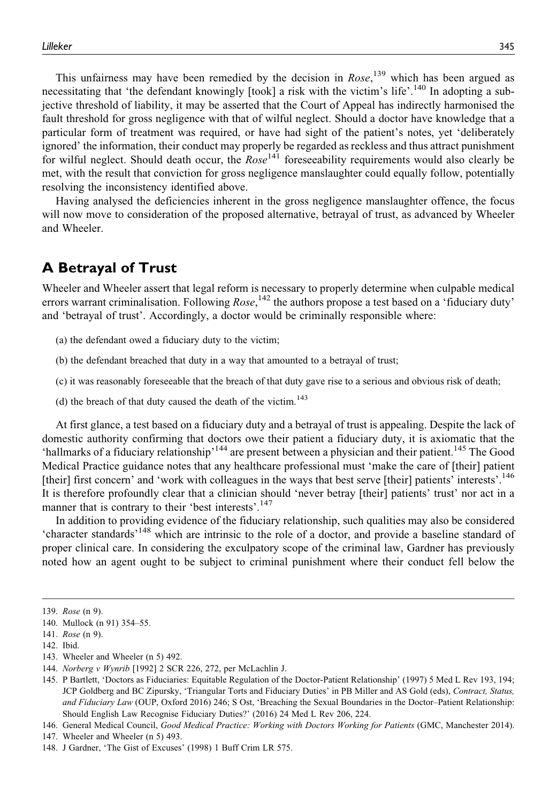This unfairness may have been remedied by the decision in  $Rose$ ,  $^{139}$  which has been argued as necessitating that 'the defendant knowingly [took] a risk with the victim's life'.<sup>140</sup> In adopting a subjective threshold of liability, it may be asserted that the Court of Appeal has indirectly harmonised the fault threshold for gross negligence with that of wilful neglect. Should a doctor have knowledge that a particular form of treatment was required, or have had sight of the patient's notes, yet 'deliberately ignored' the information, their conduct may properly be regarded as reckless and thus attract punishment for wilful neglect. Should death occur, the  $Rose^{141}$  foreseeability requirements would also clearly be met, with the result that conviction for gross negligence manslaughter could equally follow, potentially resolving the inconsistency identified above.

Having analysed the deficiencies inherent in the gross negligence manslaughter offence, the focus will now move to consideration of the proposed alternative, betrayal of trust, as advanced by Wheeler and Wheeler.

### **A Betrayal of Trust**

Wheeler and Wheeler assert that legal reform is necessary to properly determine when culpable medical errors warrant criminalisation. Following Rose,<sup>142</sup> the authors propose a test based on a 'fiduciary duty' and 'betrayal of trust'. Accordingly, a doctor would be criminally responsible where:

- (a) the defendant owed a fiduciary duty to the victim;
- (b) the defendant breached that duty in a way that amounted to a betrayal of trust;
- (c) it was reasonably foreseeable that the breach of that duty gave rise to a serious and obvious risk of death;
- (d) the breach of that duty caused the death of the victim.<sup>143</sup>

At first glance, a test based on a fiduciary duty and a betrayal of trust is appealing. Despite the lack of domestic authority confirming that doctors owe their patient a fiduciary duty, it is axiomatic that the 'hallmarks of a fiduciary relationship'<sup>144</sup> are present between a physician and their patient.<sup>145</sup> The Good Medical Practice guidance notes that any healthcare professional must 'make the care of [their] patient [their] first concern' and 'work with colleagues in the ways that best serve [their] patients' interests'.<sup>146</sup> It is therefore profoundly clear that a clinician should 'never betray [their] patients' trust' nor act in a manner that is contrary to their 'best interests'.<sup>147</sup>

In addition to providing evidence of the fiduciary relationship, such qualities may also be considered 'character standards'<sup>148</sup> which are intrinsic to the role of a doctor, and provide a baseline standard of proper clinical care. In considering the exculpatory scope of the criminal law, Gardner has previously noted how an agent ought to be subject to criminal punishment where their conduct fell below the

143. Wheeler and Wheeler (n 5) 492.

<sup>139.</sup> Rose (n 9).

<sup>140.</sup> Mullock (n 91) 354–55.

<sup>141.</sup> Rose (n 9).

<sup>142.</sup> Ibid.

<sup>144.</sup> Norberg v Wynrib [1992] 2 SCR 226, 272, per McLachlin J.

<sup>145.</sup> P Bartlett, 'Doctors as Fiduciaries: Equitable Regulation of the Doctor-Patient Relationship' (1997) 5 Med L Rev 193, 194; JCP Goldberg and BC Zipursky, 'Triangular Torts and Fiduciary Duties' in PB Miller and AS Gold (eds), Contract, Status, and Fiduciary Law (OUP, Oxford 2016) 246; S Ost, 'Breaching the Sexual Boundaries in the Doctor-Patient Relationship: Should English Law Recognise Fiduciary Duties?' (2016) 24 Med L Rev 206, 224.

<sup>146.</sup> General Medical Council, Good Medical Practice: Working with Doctors Working for Patients (GMC, Manchester 2014).

<sup>147.</sup> Wheeler and Wheeler (n 5) 493.

<sup>148.</sup> J Gardner, 'The Gist of Excuses' (1998) 1 Buff Crim LR 575.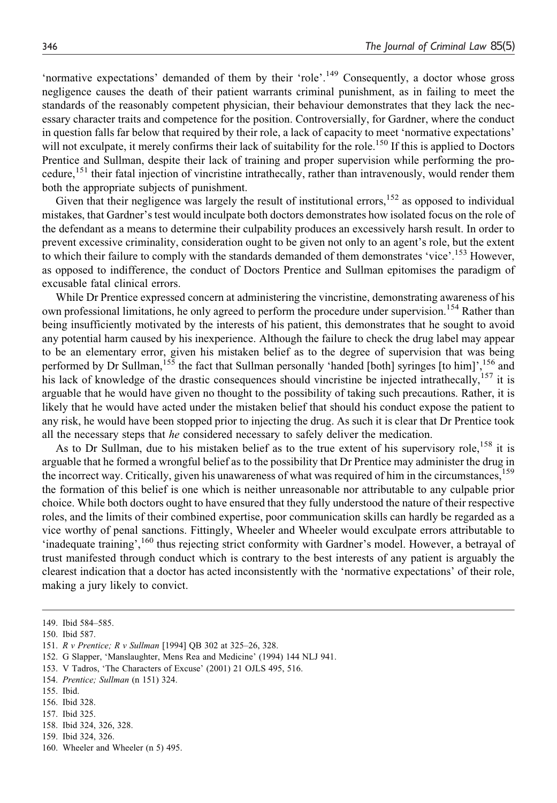'normative expectations' demanded of them by their 'role'.<sup>149</sup> Consequently, a doctor whose gross negligence causes the death of their patient warrants criminal punishment, as in failing to meet the standards of the reasonably competent physician, their behaviour demonstrates that they lack the necessary character traits and competence for the position. Controversially, for Gardner, where the conduct in question falls far below that required by their role, a lack of capacity to meet 'normative expectations' will not exculpate, it merely confirms their lack of suitability for the role.<sup>150</sup> If this is applied to Doctors Prentice and Sullman, despite their lack of training and proper supervision while performing the procedure,<sup>151</sup> their fatal injection of vincristine intrathecally, rather than intravenously, would render them both the appropriate subjects of punishment.

Given that their negligence was largely the result of institutional errors,<sup>152</sup> as opposed to individual mistakes, that Gardner's test would inculpate both doctors demonstrates how isolated focus on the role of the defendant as a means to determine their culpability produces an excessively harsh result. In order to prevent excessive criminality, consideration ought to be given not only to an agent's role, but the extent to which their failure to comply with the standards demanded of them demonstrates 'vice'.<sup>153</sup> However, as opposed to indifference, the conduct of Doctors Prentice and Sullman epitomises the paradigm of excusable fatal clinical errors.

While Dr Prentice expressed concern at administering the vincristine, demonstrating awareness of his own professional limitations, he only agreed to perform the procedure under supervision.<sup>154</sup> Rather than being insufficiently motivated by the interests of his patient, this demonstrates that he sought to avoid any potential harm caused by his inexperience. Although the failure to check the drug label may appear to be an elementary error, given his mistaken belief as to the degree of supervision that was being performed by Dr Sullman,<sup>155</sup> the fact that Sullman personally 'handed [both] syringes [to him]',<sup>156</sup> and his lack of knowledge of the drastic consequences should vincristine be injected intrathecally,<sup>157</sup> it is arguable that he would have given no thought to the possibility of taking such precautions. Rather, it is likely that he would have acted under the mistaken belief that should his conduct expose the patient to any risk, he would have been stopped prior to injecting the drug. As such it is clear that Dr Prentice took all the necessary steps that he considered necessary to safely deliver the medication.

As to Dr Sullman, due to his mistaken belief as to the true extent of his supervisory role,<sup>158</sup> it is arguable that he formed a wrongful belief as to the possibility that Dr Prentice may administer the drug in the incorrect way. Critically, given his unawareness of what was required of him in the circumstances,<sup>159</sup> the formation of this belief is one which is neither unreasonable nor attributable to any culpable prior choice. While both doctors ought to have ensured that they fully understood the nature of their respective roles, and the limits of their combined expertise, poor communication skills can hardly be regarded as a vice worthy of penal sanctions. Fittingly, Wheeler and Wheeler would exculpate errors attributable to 'inadequate training',<sup>160</sup> thus rejecting strict conformity with Gardner's model. However, a betrayal of trust manifested through conduct which is contrary to the best interests of any patient is arguably the clearest indication that a doctor has acted inconsistently with the 'normative expectations' of their role, making a jury likely to convict.

150. Ibid 587.

- 153. V Tadros, 'The Characters of Excuse' (2001) 21 OJLS 495, 516.
- 154. Prentice; Sullman (n 151) 324.

- 156. Ibid 328.
- 157. Ibid 325.
- 158. Ibid 324, 326, 328.
- 159. Ibid 324, 326.
- 160. Wheeler and Wheeler (n 5) 495.

<sup>149.</sup> Ibid 584–585.

<sup>151.</sup> R v Prentice; R v Sullman [1994] QB 302 at 325–26, 328.

<sup>152.</sup> G Slapper, 'Manslaughter, Mens Rea and Medicine' (1994) 144 NLJ 941.

<sup>155.</sup> Ibid.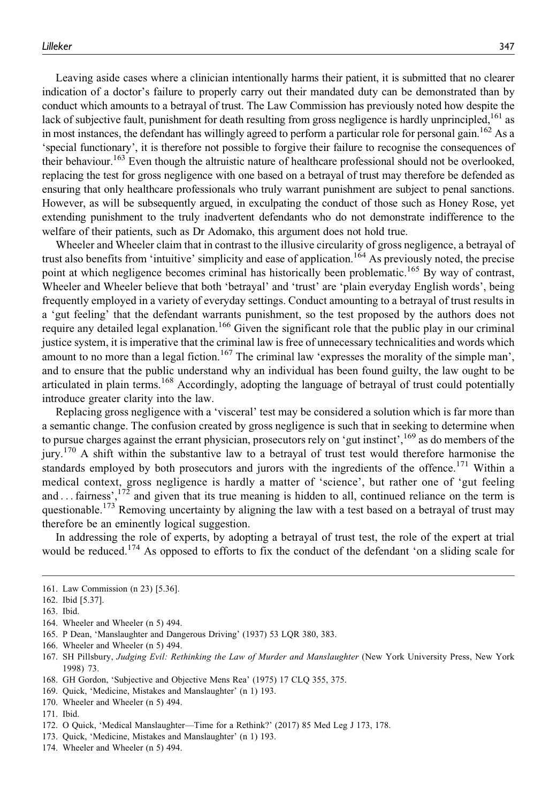Leaving aside cases where a clinician intentionally harms their patient, it is submitted that no clearer indication of a doctor's failure to properly carry out their mandated duty can be demonstrated than by conduct which amounts to a betrayal of trust. The Law Commission has previously noted how despite the lack of subjective fault, punishment for death resulting from gross negligence is hardly unprincipled,<sup>161</sup> as in most instances, the defendant has willingly agreed to perform a particular role for personal gain.<sup>162</sup> As a 'special functionary', it is therefore not possible to forgive their failure to recognise the consequences of their behaviour.<sup>163</sup> Even though the altruistic nature of healthcare professional should not be overlooked, replacing the test for gross negligence with one based on a betrayal of trust may therefore be defended as ensuring that only healthcare professionals who truly warrant punishment are subject to penal sanctions. However, as will be subsequently argued, in exculpating the conduct of those such as Honey Rose, yet extending punishment to the truly inadvertent defendants who do not demonstrate indifference to the welfare of their patients, such as Dr Adomako, this argument does not hold true.

Wheeler and Wheeler claim that in contrast to the illusive circularity of gross negligence, a betrayal of trust also benefits from 'intuitive' simplicity and ease of application.<sup>164</sup> As previously noted, the precise point at which negligence becomes criminal has historically been problematic.<sup>165</sup> By way of contrast, Wheeler and Wheeler believe that both 'betrayal' and 'trust' are 'plain everyday English words', being frequently employed in a variety of everyday settings. Conduct amounting to a betrayal of trust results in a 'gut feeling' that the defendant warrants punishment, so the test proposed by the authors does not require any detailed legal explanation.<sup>166</sup> Given the significant role that the public play in our criminal justice system, it is imperative that the criminal law is free of unnecessary technicalities and words which amount to no more than a legal fiction.<sup>167</sup> The criminal law 'expresses the morality of the simple man', and to ensure that the public understand why an individual has been found guilty, the law ought to be articulated in plain terms.<sup>168</sup> Accordingly, adopting the language of betrayal of trust could potentially introduce greater clarity into the law.

Replacing gross negligence with a 'visceral' test may be considered a solution which is far more than a semantic change. The confusion created by gross negligence is such that in seeking to determine when to pursue charges against the errant physician, prosecutors rely on 'gut instinct',169 as do members of the jury.<sup>170</sup> A shift within the substantive law to a betrayal of trust test would therefore harmonise the standards employed by both prosecutors and jurors with the ingredients of the offence.<sup>171</sup> Within a medical context, gross negligence is hardly a matter of 'science', but rather one of 'gut feeling and  $\dots$  fairness',<sup>172</sup> and given that its true meaning is hidden to all, continued reliance on the term is questionable.<sup>173</sup> Removing uncertainty by aligning the law with a test based on a betrayal of trust may therefore be an eminently logical suggestion.

In addressing the role of experts, by adopting a betrayal of trust test, the role of the expert at trial would be reduced.<sup>174</sup> As opposed to efforts to fix the conduct of the defendant 'on a sliding scale for

164. Wheeler and Wheeler (n 5) 494.

- 166. Wheeler and Wheeler (n 5) 494.
- 167. SH Pillsbury, Judging Evil: Rethinking the Law of Murder and Manslaughter (New York University Press, New York 1998) 73.
- 168. GH Gordon, 'Subjective and Objective Mens Rea' (1975) 17 CLQ 355, 375.
- 169. Quick, 'Medicine, Mistakes and Manslaughter' (n 1) 193.
- 170. Wheeler and Wheeler (n 5) 494.
- 171. Ibid.

- 173. Quick, 'Medicine, Mistakes and Manslaughter' (n 1) 193.
- 174. Wheeler and Wheeler (n 5) 494.

<sup>161.</sup> Law Commission (n 23) [5.36].

<sup>162.</sup> Ibid [5.37].

<sup>163.</sup> Ibid.

<sup>165.</sup> P Dean, 'Manslaughter and Dangerous Driving' (1937) 53 LQR 380, 383.

<sup>172.</sup> O Quick, 'Medical Manslaughter—Time for a Rethink?' (2017) 85 Med Leg J 173, 178.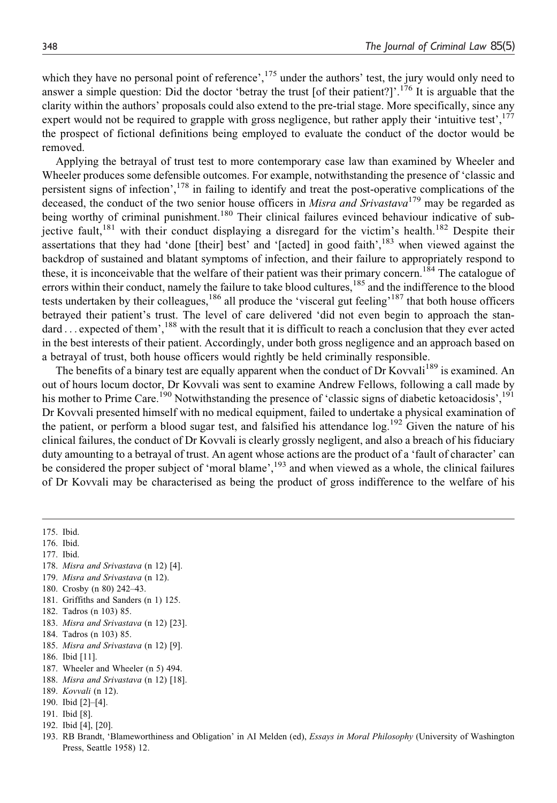which they have no personal point of reference',<sup>175</sup> under the authors' test, the jury would only need to answer a simple question: Did the doctor 'betray the trust [of their patient?]'.<sup>176</sup> It is arguable that the clarity within the authors' proposals could also extend to the pre-trial stage. More specifically, since any expert would not be required to grapple with gross negligence, but rather apply their 'intuitive test',<sup>177</sup> the prospect of fictional definitions being employed to evaluate the conduct of the doctor would be removed.

Applying the betrayal of trust test to more contemporary case law than examined by Wheeler and Wheeler produces some defensible outcomes. For example, notwithstanding the presence of 'classic and persistent signs of infection',<sup>178</sup> in failing to identify and treat the post-operative complications of the deceased, the conduct of the two senior house officers in *Misra and Srivastava*<sup>179</sup> may be regarded as being worthy of criminal punishment.<sup>180</sup> Their clinical failures evinced behaviour indicative of subjective fault,<sup>181</sup> with their conduct displaying a disregard for the victim's health.<sup>182</sup> Despite their assertations that they had 'done [their] best' and '[acted] in good faith',<sup>183</sup> when viewed against the backdrop of sustained and blatant symptoms of infection, and their failure to appropriately respond to these, it is inconceivable that the welfare of their patient was their primary concern.<sup>184</sup> The catalogue of errors within their conduct, namely the failure to take blood cultures,<sup>185</sup> and the indifference to the blood tests undertaken by their colleagues,<sup>186</sup> all produce the 'visceral gut feeling'<sup>187</sup> that both house officers betrayed their patient's trust. The level of care delivered 'did not even begin to approach the standard  $\dots$  expected of them',<sup>188</sup> with the result that it is difficult to reach a conclusion that they ever acted in the best interests of their patient. Accordingly, under both gross negligence and an approach based on a betrayal of trust, both house officers would rightly be held criminally responsible.

The benefits of a binary test are equally apparent when the conduct of Dr Kovvali<sup>189</sup> is examined. An out of hours locum doctor, Dr Kovvali was sent to examine Andrew Fellows, following a call made by his mother to Prime Care.<sup>190</sup> Notwithstanding the presence of 'classic signs of diabetic ketoacidosis',<sup>191</sup> Dr Kovvali presented himself with no medical equipment, failed to undertake a physical examination of the patient, or perform a blood sugar test, and falsified his attendance log.<sup>192</sup> Given the nature of his clinical failures, the conduct of Dr Kovvali is clearly grossly negligent, and also a breach of his fiduciary duty amounting to a betrayal of trust. An agent whose actions are the product of a 'fault of character' can be considered the proper subject of 'moral blame',<sup>193</sup> and when viewed as a whole, the clinical failures of Dr Kovvali may be characterised as being the product of gross indifference to the welfare of his

175. Ibid.

- 176. Ibid.
- 177. Ibid.
- 178. Misra and Srivastava (n 12) [4].
- 179. Misra and Srivastava (n 12).
- 180. Crosby (n 80) 242–43.
- 181. Griffiths and Sanders (n 1) 125.
- 182. Tadros (n 103) 85.
- 183. Misra and Srivastava (n 12) [23].
- 184. Tadros (n 103) 85.
- 185. Misra and Srivastava (n 12) [9].
- 186. Ibid [11].
- 187. Wheeler and Wheeler (n 5) 494.
- 188. Misra and Srivastava (n 12) [18].
- 189. Kovvali (n 12).
- 190. Ibid [2]–[4].
- 191. Ibid [8].
- 192. Ibid [4], [20].
- 193. RB Brandt, 'Blameworthiness and Obligation' in AI Melden (ed), Essays in Moral Philosophy (University of Washington Press, Seattle 1958) 12.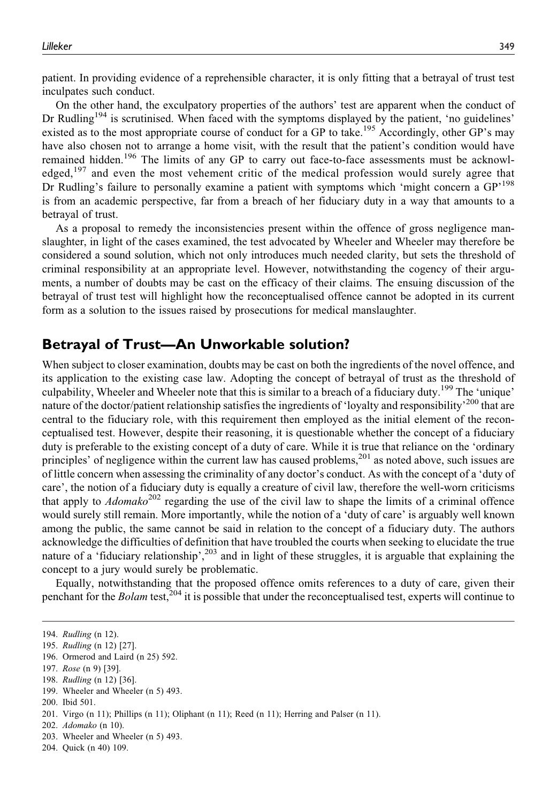patient. In providing evidence of a reprehensible character, it is only fitting that a betrayal of trust test inculpates such conduct.

On the other hand, the exculpatory properties of the authors' test are apparent when the conduct of Dr Rudling<sup>194</sup> is scrutinised. When faced with the symptoms displayed by the patient, 'no guidelines' existed as to the most appropriate course of conduct for a GP to take.<sup>195</sup> Accordingly, other GP's may have also chosen not to arrange a home visit, with the result that the patient's condition would have remained hidden.196 The limits of any GP to carry out face-to-face assessments must be acknowledged,<sup>197</sup> and even the most vehement critic of the medical profession would surely agree that Dr Rudling's failure to personally examine a patient with symptoms which 'might concern a  $GP<sup>198</sup>$ is from an academic perspective, far from a breach of her fiduciary duty in a way that amounts to a betrayal of trust.

As a proposal to remedy the inconsistencies present within the offence of gross negligence manslaughter, in light of the cases examined, the test advocated by Wheeler and Wheeler may therefore be considered a sound solution, which not only introduces much needed clarity, but sets the threshold of criminal responsibility at an appropriate level. However, notwithstanding the cogency of their arguments, a number of doubts may be cast on the efficacy of their claims. The ensuing discussion of the betrayal of trust test will highlight how the reconceptualised offence cannot be adopted in its current form as a solution to the issues raised by prosecutions for medical manslaughter.

#### **Betrayal of Trust—An Unworkable solution?**

When subject to closer examination, doubts may be cast on both the ingredients of the novel offence, and its application to the existing case law. Adopting the concept of betrayal of trust as the threshold of culpability, Wheeler and Wheeler note that this is similar to a breach of a fiduciary duty.199 The 'unique' nature of the doctor/patient relationship satisfies the ingredients of 'loyalty and responsibility'<sup>200</sup> that are central to the fiduciary role, with this requirement then employed as the initial element of the reconceptualised test. However, despite their reasoning, it is questionable whether the concept of a fiduciary duty is preferable to the existing concept of a duty of care. While it is true that reliance on the 'ordinary principles' of negligence within the current law has caused problems,<sup>201</sup> as noted above, such issues are of little concern when assessing the criminality of any doctor's conduct. As with the concept of a 'duty of care', the notion of a fiduciary duty is equally a creature of civil law, therefore the well-worn criticisms that apply to  $Adomako^{202}$  regarding the use of the civil law to shape the limits of a criminal offence would surely still remain. More importantly, while the notion of a 'duty of care' is arguably well known among the public, the same cannot be said in relation to the concept of a fiduciary duty. The authors acknowledge the difficulties of definition that have troubled the courts when seeking to elucidate the true nature of a 'fiduciary relationship',<sup>203</sup> and in light of these struggles, it is arguable that explaining the concept to a jury would surely be problematic.

Equally, notwithstanding that the proposed offence omits references to a duty of care, given their penchant for the *Bolam* test,<sup>204</sup> it is possible that under the reconceptualised test, experts will continue to

199. Wheeler and Wheeler (n 5) 493.

204. Quick (n 40) 109.

<sup>194.</sup> Rudling (n 12).

<sup>195.</sup> Rudling (n 12) [27].

<sup>196.</sup> Ormerod and Laird (n 25) 592.

<sup>197.</sup> Rose (n 9) [39].

<sup>198.</sup> Rudling (n 12) [36].

<sup>200.</sup> Ibid 501.

<sup>201.</sup> Virgo (n 11); Phillips (n 11); Oliphant (n 11); Reed (n 11); Herring and Palser (n 11).

<sup>202.</sup> Adomako (n 10).

<sup>203.</sup> Wheeler and Wheeler (n 5) 493.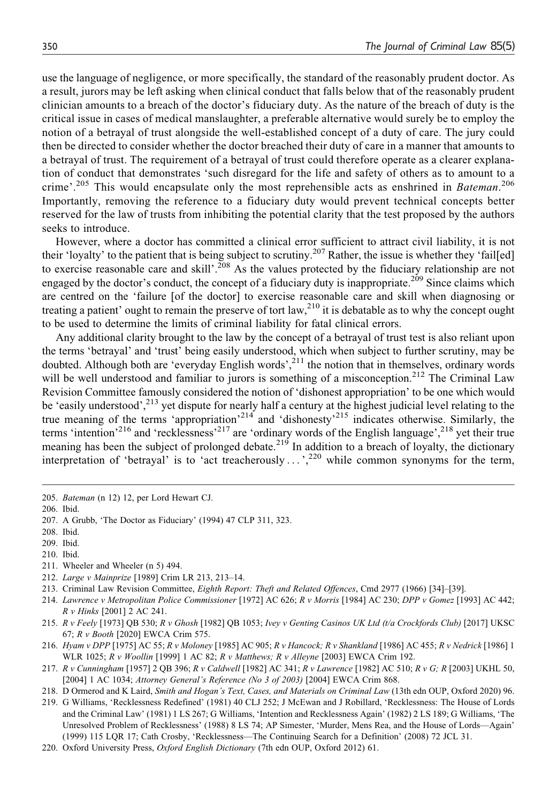use the language of negligence, or more specifically, the standard of the reasonably prudent doctor. As a result, jurors may be left asking when clinical conduct that falls below that of the reasonably prudent clinician amounts to a breach of the doctor's fiduciary duty. As the nature of the breach of duty is the critical issue in cases of medical manslaughter, a preferable alternative would surely be to employ the notion of a betrayal of trust alongside the well-established concept of a duty of care. The jury could then be directed to consider whether the doctor breached their duty of care in a manner that amounts to a betrayal of trust. The requirement of a betrayal of trust could therefore operate as a clearer explanation of conduct that demonstrates 'such disregard for the life and safety of others as to amount to a crime'.<sup>205</sup> This would encapsulate only the most reprehensible acts as enshrined in Bateman.<sup>206</sup> Importantly, removing the reference to a fiduciary duty would prevent technical concepts better reserved for the law of trusts from inhibiting the potential clarity that the test proposed by the authors seeks to introduce.

However, where a doctor has committed a clinical error sufficient to attract civil liability, it is not their 'loyalty' to the patient that is being subject to scrutiny.<sup>207</sup> Rather, the issue is whether they 'fail[ed] to exercise reasonable care and skill'.<sup>208</sup> As the values protected by the fiduciary relationship are not engaged by the doctor's conduct, the concept of a fiduciary duty is inappropriate.<sup>209</sup> Since claims which are centred on the 'failure [of the doctor] to exercise reasonable care and skill when diagnosing or treating a patient' ought to remain the preserve of tort law,<sup>210</sup> it is debatable as to why the concept ought to be used to determine the limits of criminal liability for fatal clinical errors.

Any additional clarity brought to the law by the concept of a betrayal of trust test is also reliant upon the terms 'betrayal' and 'trust' being easily understood, which when subject to further scrutiny, may be doubted. Although both are 'everyday English words',<sup>211</sup> the notion that in themselves, ordinary words will be well understood and familiar to jurors is something of a misconception.<sup>212</sup> The Criminal Law Revision Committee famously considered the notion of 'dishonest appropriation' to be one which would be 'easily understood',<sup>213</sup> yet dispute for nearly half a century at the highest judicial level relating to the true meaning of the terms 'appropriation'<sup>214</sup> and 'dishonesty'<sup>215</sup> indicates otherwise. Similarly, the terms 'intention'<sup>216</sup> and 'recklessness'<sup>217</sup> are 'ordinary words of the English language',<sup>218</sup> yet their true meaning has been the subject of prolonged debate.<sup>219</sup> In addition to a breach of loyalty, the dictionary interpretation of 'betrayal' is to 'act treacherously  $\dots$ ,<sup>220</sup> while common synonyms for the term,

- 210. Ibid.
- 211. Wheeler and Wheeler (n 5) 494.
- 212. Large v Mainprize [1989] Crim LR 213, 213–14.
- 213. Criminal Law Revision Committee, Eighth Report: Theft and Related Offences, Cmd 2977 (1966) [34]–[39].
- 214. Lawrence v Metropolitan Police Commissioner [1972] AC 626; R v Morris [1984] AC 230; DPP v Gomez [1993] AC 442; R v Hinks [2001] 2 AC 241.
- 215. R v Feely [1973] QB 530; R v Ghosh [1982] QB 1053; Ivey v Genting Casinos UK Ltd (t/a Crockfords Club) [2017] UKSC 67; R v Booth [2020] EWCA Crim 575.
- 216. Hyam v DPP [1975] AC 55; R v Moloney [1985] AC 905; R v Hancock; R v Shankland [1986] AC 455; R v Nedrick [1986] 1 WLR 1025; R v Woollin [1999] 1 AC 82; R v Matthews; R v Alleyne [2003] EWCA Crim 192.
- 217. R v Cunningham [1957] 2 QB 396; R v Caldwell [1982] AC 341; R v Lawrence [1982] AC 510; R v G; R [2003] UKHL 50, [2004] 1 AC 1034; Attorney General's Reference (No 3 of 2003) [2004] EWCA Crim 868.
- 218. D Ormerod and K Laird, Smith and Hogan's Text, Cases, and Materials on Criminal Law (13th edn OUP, Oxford 2020) 96.
- 219. G Williams, 'Recklessness Redefined' (1981) 40 CLJ 252; J McEwan and J Robillard, 'Recklessness: The House of Lords and the Criminal Law' (1981) 1 LS 267; G Williams, 'Intention and Recklessness Again' (1982) 2 LS 189; G Williams, 'The Unresolved Problem of Recklessness' (1988) 8 LS 74; AP Simester, 'Murder, Mens Rea, and the House of Lords—Again' (1999) 115 LQR 17; Cath Crosby, 'Recklessness—The Continuing Search for a Definition' (2008) 72 JCL 31.
- 220. Oxford University Press, Oxford English Dictionary (7th edn OUP, Oxford 2012) 61.

<sup>205.</sup> Bateman (n 12) 12, per Lord Hewart CJ.

<sup>206.</sup> Ibid.

<sup>207.</sup> A Grubb, 'The Doctor as Fiduciary' (1994) 47 CLP 311, 323.

<sup>208.</sup> Ibid.

<sup>209.</sup> Ibid.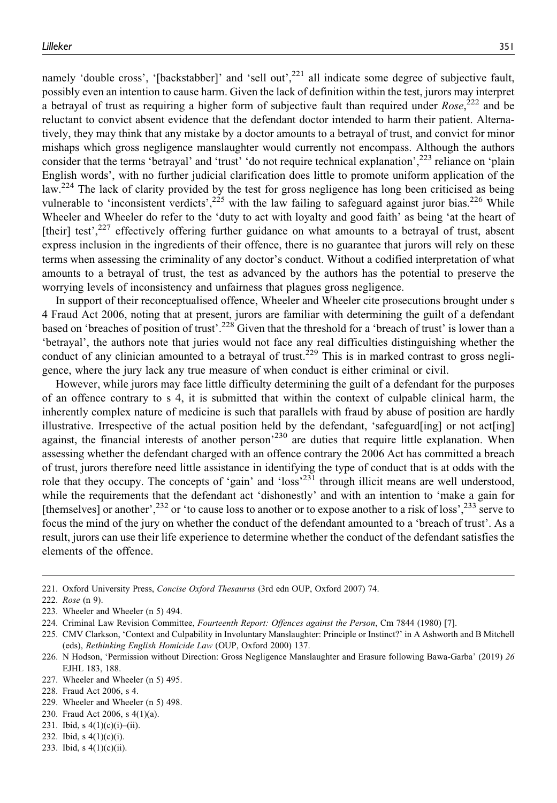namely 'double cross', '[backstabber]' and 'sell out',<sup>221</sup> all indicate some degree of subjective fault, possibly even an intention to cause harm. Given the lack of definition within the test, jurors may interpret a betrayal of trust as requiring a higher form of subjective fault than required under  $Rose$ ,  $222$  and be reluctant to convict absent evidence that the defendant doctor intended to harm their patient. Alternatively, they may think that any mistake by a doctor amounts to a betrayal of trust, and convict for minor mishaps which gross negligence manslaughter would currently not encompass. Although the authors consider that the terms 'betrayal' and 'trust' 'do not require technical explanation',<sup>223</sup> reliance on 'plain English words', with no further judicial clarification does little to promote uniform application of the law.<sup>224</sup> The lack of clarity provided by the test for gross negligence has long been criticised as being vulnerable to 'inconsistent verdicts',<sup>225</sup> with the law failing to safeguard against juror bias.<sup>226</sup> While Wheeler and Wheeler do refer to the 'duty to act with loyalty and good faith' as being 'at the heart of [their] test',<sup>227</sup> effectively offering further guidance on what amounts to a betrayal of trust, absent express inclusion in the ingredients of their offence, there is no guarantee that jurors will rely on these terms when assessing the criminality of any doctor's conduct. Without a codified interpretation of what amounts to a betrayal of trust, the test as advanced by the authors has the potential to preserve the worrying levels of inconsistency and unfairness that plagues gross negligence.

In support of their reconceptualised offence, Wheeler and Wheeler cite prosecutions brought under s 4 Fraud Act 2006, noting that at present, jurors are familiar with determining the guilt of a defendant based on 'breaches of position of trust'.<sup>228</sup> Given that the threshold for a 'breach of trust' is lower than a 'betrayal', the authors note that juries would not face any real difficulties distinguishing whether the conduct of any clinician amounted to a betrayal of trust.<sup>229</sup> This is in marked contrast to gross negligence, where the jury lack any true measure of when conduct is either criminal or civil.

However, while jurors may face little difficulty determining the guilt of a defendant for the purposes of an offence contrary to s 4, it is submitted that within the context of culpable clinical harm, the inherently complex nature of medicine is such that parallels with fraud by abuse of position are hardly illustrative. Irrespective of the actual position held by the defendant, 'safeguard[ing] or not act[ing] against, the financial interests of another person<sup>230</sup> are duties that require little explanation. When assessing whether the defendant charged with an offence contrary the 2006 Act has committed a breach of trust, jurors therefore need little assistance in identifying the type of conduct that is at odds with the role that they occupy. The concepts of 'gain' and 'loss'<sup>231</sup> through illicit means are well understood, while the requirements that the defendant act 'dishonestly' and with an intention to 'make a gain for [themselves] or another',<sup>232</sup> or 'to cause loss to another or to expose another to a risk of loss',<sup>233</sup> serve to focus the mind of the jury on whether the conduct of the defendant amounted to a 'breach of trust'. As a result, jurors can use their life experience to determine whether the conduct of the defendant satisfies the elements of the offence.

230. Fraud Act 2006, s 4(1)(a).

- 232. Ibid, s 4(1)(c)(i).
- 233. Ibid, s  $4(1)(c)(ii)$ .

<sup>221.</sup> Oxford University Press, Concise Oxford Thesaurus (3rd edn OUP, Oxford 2007) 74.

<sup>222.</sup> Rose (n 9).

<sup>223.</sup> Wheeler and Wheeler (n 5) 494.

<sup>224.</sup> Criminal Law Revision Committee, Fourteenth Report: Offences against the Person, Cm 7844 (1980) [7].

<sup>225.</sup> CMV Clarkson, 'Context and Culpability in Involuntary Manslaughter: Principle or Instinct?' in A Ashworth and B Mitchell (eds), Rethinking English Homicide Law (OUP, Oxford 2000) 137.

<sup>226.</sup> N Hodson, 'Permission without Direction: Gross Negligence Manslaughter and Erasure following Bawa-Garba' (2019) 26 EJHL 183, 188.

<sup>227.</sup> Wheeler and Wheeler (n 5) 495.

<sup>228.</sup> Fraud Act 2006, s 4.

<sup>229.</sup> Wheeler and Wheeler (n 5) 498.

<sup>231.</sup> Ibid, s  $4(1)(c)(i) - (ii)$ .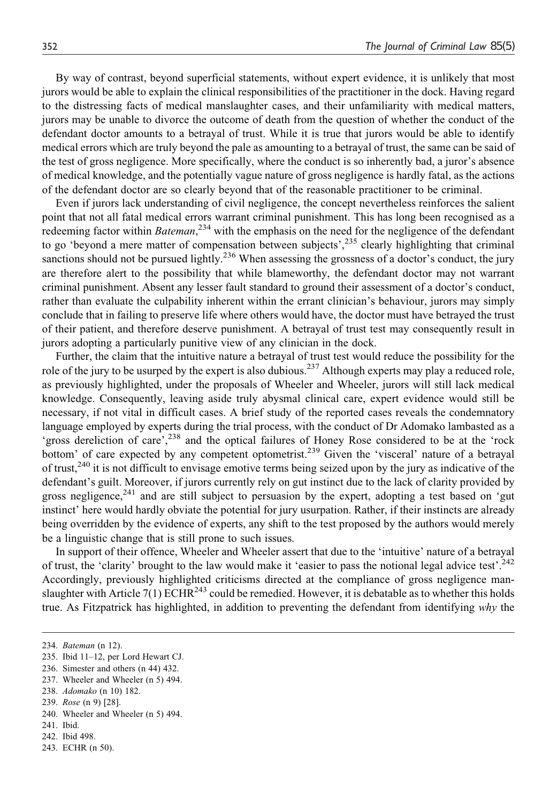By way of contrast, beyond superficial statements, without expert evidence, it is unlikely that most jurors would be able to explain the clinical responsibilities of the practitioner in the dock. Having regard to the distressing facts of medical manslaughter cases, and their unfamiliarity with medical matters, jurors may be unable to divorce the outcome of death from the question of whether the conduct of the defendant doctor amounts to a betrayal of trust. While it is true that jurors would be able to identify medical errors which are truly beyond the pale as amounting to a betrayal of trust, the same can be said of the test of gross negligence. More specifically, where the conduct is so inherently bad, a juror's absence of medical knowledge, and the potentially vague nature of gross negligence is hardly fatal, as the actions of the defendant doctor are so clearly beyond that of the reasonable practitioner to be criminal.

Even if jurors lack understanding of civil negligence, the concept nevertheless reinforces the salient point that not all fatal medical errors warrant criminal punishment. This has long been recognised as a redeeming factor within *Bateman*,<sup>234</sup> with the emphasis on the need for the negligence of the defendant to go 'beyond a mere matter of compensation between subjects',  $235$  clearly highlighting that criminal sanctions should not be pursued lightly.<sup>236</sup> When assessing the grossness of a doctor's conduct, the jury are therefore alert to the possibility that while blameworthy, the defendant doctor may not warrant criminal punishment. Absent any lesser fault standard to ground their assessment of a doctor's conduct, rather than evaluate the culpability inherent within the errant clinician's behaviour, jurors may simply conclude that in failing to preserve life where others would have, the doctor must have betrayed the trust of their patient, and therefore deserve punishment. A betrayal of trust test may consequently result in jurors adopting a particularly punitive view of any clinician in the dock.

Further, the claim that the intuitive nature a betrayal of trust test would reduce the possibility for the role of the jury to be usurped by the expert is also dubious.<sup>237</sup> Although experts may play a reduced role, as previously highlighted, under the proposals of Wheeler and Wheeler, jurors will still lack medical knowledge. Consequently, leaving aside truly abysmal clinical care, expert evidence would still be necessary, if not vital in difficult cases. A brief study of the reported cases reveals the condemnatory language employed by experts during the trial process, with the conduct of Dr Adomako lambasted as a 'gross dereliction of care',<sup>238</sup> and the optical failures of Honey Rose considered to be at the 'rock bottom' of care expected by any competent optometrist.<sup>239</sup> Given the 'visceral' nature of a betrayal of trust, $240$  it is not difficult to envisage emotive terms being seized upon by the jury as indicative of the defendant's guilt. Moreover, if jurors currently rely on gut instinct due to the lack of clarity provided by gross negligence, $^{241}$  and are still subject to persuasion by the expert, adopting a test based on 'gut instinct' here would hardly obviate the potential for jury usurpation. Rather, if their instincts are already being overridden by the evidence of experts, any shift to the test proposed by the authors would merely be a linguistic change that is still prone to such issues.

In support of their offence, Wheeler and Wheeler assert that due to the 'intuitive' nature of a betrayal of trust, the 'clarity' brought to the law would make it 'easier to pass the notional legal advice test'.<sup>242</sup> Accordingly, previously highlighted criticisms directed at the compliance of gross negligence manslaughter with Article 7(1) ECHR<sup>243</sup> could be remedied. However, it is debatable as to whether this holds true. As Fitzpatrick has highlighted, in addition to preventing the defendant from identifying why the

237. Wheeler and Wheeler (n 5) 494.

- 240. Wheeler and Wheeler (n 5) 494.
- 241. Ibid.
- 242. Ibid 498.
- 243. ECHR (n 50).

<sup>234.</sup> Bateman (n 12).

<sup>235.</sup> Ibid 11–12, per Lord Hewart CJ.

<sup>236.</sup> Simester and others (n 44) 432.

<sup>238.</sup> Adomako (n 10) 182.

<sup>239.</sup> Rose (n 9) [28].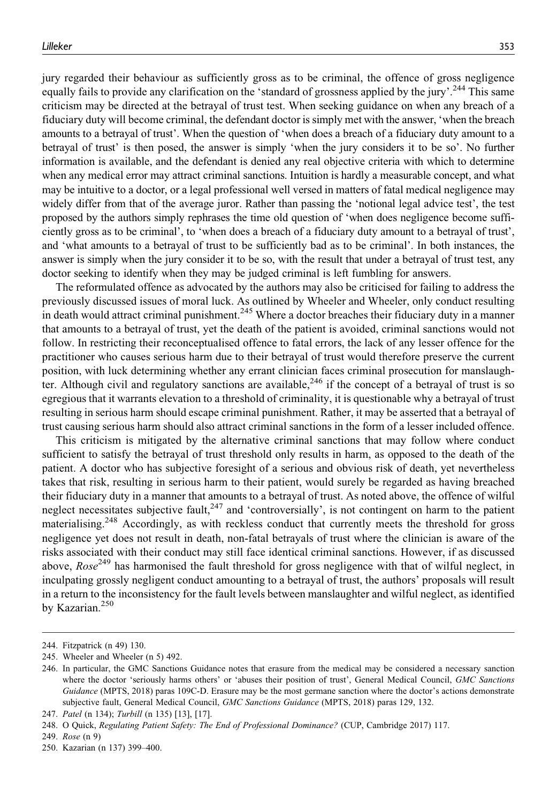jury regarded their behaviour as sufficiently gross as to be criminal, the offence of gross negligence equally fails to provide any clarification on the 'standard of grossness applied by the jury'.<sup>244</sup> This same criticism may be directed at the betrayal of trust test. When seeking guidance on when any breach of a fiduciary duty will become criminal, the defendant doctor is simply met with the answer, 'when the breach amounts to a betrayal of trust'. When the question of 'when does a breach of a fiduciary duty amount to a betrayal of trust' is then posed, the answer is simply 'when the jury considers it to be so'. No further information is available, and the defendant is denied any real objective criteria with which to determine when any medical error may attract criminal sanctions. Intuition is hardly a measurable concept, and what may be intuitive to a doctor, or a legal professional well versed in matters of fatal medical negligence may widely differ from that of the average juror. Rather than passing the 'notional legal advice test', the test proposed by the authors simply rephrases the time old question of 'when does negligence become sufficiently gross as to be criminal', to 'when does a breach of a fiduciary duty amount to a betrayal of trust', and 'what amounts to a betrayal of trust to be sufficiently bad as to be criminal'. In both instances, the answer is simply when the jury consider it to be so, with the result that under a betrayal of trust test, any doctor seeking to identify when they may be judged criminal is left fumbling for answers.

The reformulated offence as advocated by the authors may also be criticised for failing to address the previously discussed issues of moral luck. As outlined by Wheeler and Wheeler, only conduct resulting in death would attract criminal punishment.<sup>245</sup> Where a doctor breaches their fiduciary duty in a manner that amounts to a betrayal of trust, yet the death of the patient is avoided, criminal sanctions would not follow. In restricting their reconceptualised offence to fatal errors, the lack of any lesser offence for the practitioner who causes serious harm due to their betrayal of trust would therefore preserve the current position, with luck determining whether any errant clinician faces criminal prosecution for manslaughter. Although civil and regulatory sanctions are available,  $2^{46}$  if the concept of a betrayal of trust is so egregious that it warrants elevation to a threshold of criminality, it is questionable why a betrayal of trust resulting in serious harm should escape criminal punishment. Rather, it may be asserted that a betrayal of trust causing serious harm should also attract criminal sanctions in the form of a lesser included offence.

This criticism is mitigated by the alternative criminal sanctions that may follow where conduct sufficient to satisfy the betrayal of trust threshold only results in harm, as opposed to the death of the patient. A doctor who has subjective foresight of a serious and obvious risk of death, yet nevertheless takes that risk, resulting in serious harm to their patient, would surely be regarded as having breached their fiduciary duty in a manner that amounts to a betrayal of trust. As noted above, the offence of wilful neglect necessitates subjective fault,<sup>247</sup> and 'controversially', is not contingent on harm to the patient materialising.<sup>248</sup> Accordingly, as with reckless conduct that currently meets the threshold for gross negligence yet does not result in death, non-fatal betrayals of trust where the clinician is aware of the risks associated with their conduct may still face identical criminal sanctions. However, if as discussed above,  $Rose^{249}$  has harmonised the fault threshold for gross negligence with that of wilful neglect, in inculpating grossly negligent conduct amounting to a betrayal of trust, the authors' proposals will result in a return to the inconsistency for the fault levels between manslaughter and wilful neglect, as identified by Kazarian.<sup>250</sup>

<sup>244.</sup> Fitzpatrick (n 49) 130.

<sup>245.</sup> Wheeler and Wheeler (n 5) 492.

<sup>246.</sup> In particular, the GMC Sanctions Guidance notes that erasure from the medical may be considered a necessary sanction where the doctor 'seriously harms others' or 'abuses their position of trust', General Medical Council, GMC Sanctions Guidance (MPTS, 2018) paras 109C-D. Erasure may be the most germane sanction where the doctor's actions demonstrate subjective fault, General Medical Council, GMC Sanctions Guidance (MPTS, 2018) paras 129, 132.

<sup>247.</sup> Patel (n 134); Turbill (n 135) [13], [17].

<sup>248.</sup> O Quick, Regulating Patient Safety: The End of Professional Dominance? (CUP, Cambridge 2017) 117.

<sup>249.</sup> Rose (n 9)

<sup>250.</sup> Kazarian (n 137) 399–400.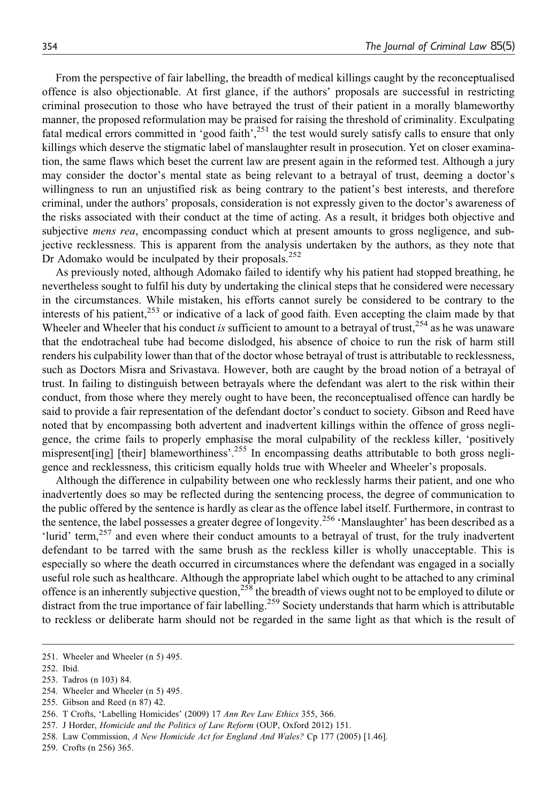From the perspective of fair labelling, the breadth of medical killings caught by the reconceptualised offence is also objectionable. At first glance, if the authors' proposals are successful in restricting criminal prosecution to those who have betrayed the trust of their patient in a morally blameworthy manner, the proposed reformulation may be praised for raising the threshold of criminality. Exculpating fatal medical errors committed in 'good faith',<sup>251</sup> the test would surely satisfy calls to ensure that only killings which deserve the stigmatic label of manslaughter result in prosecution. Yet on closer examination, the same flaws which beset the current law are present again in the reformed test. Although a jury may consider the doctor's mental state as being relevant to a betrayal of trust, deeming a doctor's willingness to run an unjustified risk as being contrary to the patient's best interests, and therefore criminal, under the authors' proposals, consideration is not expressly given to the doctor's awareness of the risks associated with their conduct at the time of acting. As a result, it bridges both objective and subjective *mens rea*, encompassing conduct which at present amounts to gross negligence, and subjective recklessness. This is apparent from the analysis undertaken by the authors, as they note that Dr Adomako would be inculpated by their proposals. $^{252}$ 

As previously noted, although Adomako failed to identify why his patient had stopped breathing, he nevertheless sought to fulfil his duty by undertaking the clinical steps that he considered were necessary in the circumstances. While mistaken, his efforts cannot surely be considered to be contrary to the interests of his patient,<sup>253</sup> or indicative of a lack of good faith. Even accepting the claim made by that Wheeler and Wheeler that his conduct is sufficient to amount to a betrayal of trust, $254$  as he was unaware that the endotracheal tube had become dislodged, his absence of choice to run the risk of harm still renders his culpability lower than that of the doctor whose betrayal of trust is attributable to recklessness, such as Doctors Misra and Srivastava. However, both are caught by the broad notion of a betrayal of trust. In failing to distinguish between betrayals where the defendant was alert to the risk within their conduct, from those where they merely ought to have been, the reconceptualised offence can hardly be said to provide a fair representation of the defendant doctor's conduct to society. Gibson and Reed have noted that by encompassing both advertent and inadvertent killings within the offence of gross negligence, the crime fails to properly emphasise the moral culpability of the reckless killer, 'positively mispresent [ing] [their] blameworthiness'.<sup>255</sup> In encompassing deaths attributable to both gross negligence and recklessness, this criticism equally holds true with Wheeler and Wheeler's proposals.

Although the difference in culpability between one who recklessly harms their patient, and one who inadvertently does so may be reflected during the sentencing process, the degree of communication to the public offered by the sentence is hardly as clear as the offence label itself. Furthermore, in contrast to the sentence, the label possesses a greater degree of longevity.<sup>256</sup> 'Manslaughter' has been described as a 'lurid' term,<sup>257</sup> and even where their conduct amounts to a betrayal of trust, for the truly inadvertent defendant to be tarred with the same brush as the reckless killer is wholly unacceptable. This is especially so where the death occurred in circumstances where the defendant was engaged in a socially useful role such as healthcare. Although the appropriate label which ought to be attached to any criminal offence is an inherently subjective question,<sup>258</sup> the breadth of views ought not to be employed to dilute or distract from the true importance of fair labelling.<sup>259</sup> Society understands that harm which is attributable to reckless or deliberate harm should not be regarded in the same light as that which is the result of

254. Wheeler and Wheeler (n 5) 495.

<sup>251.</sup> Wheeler and Wheeler (n 5) 495.

<sup>252.</sup> Ibid.

<sup>253.</sup> Tadros (n 103) 84.

<sup>255.</sup> Gibson and Reed (n 87) 42.

<sup>256.</sup> T Crofts, 'Labelling Homicides' (2009) 17 Ann Rev Law Ethics 355, 366.

<sup>257.</sup> J Horder, Homicide and the Politics of Law Reform (OUP, Oxford 2012) 151.

<sup>258.</sup> Law Commission, A New Homicide Act for England And Wales? Cp 177 (2005) [1.46].

<sup>259.</sup> Crofts (n 256) 365.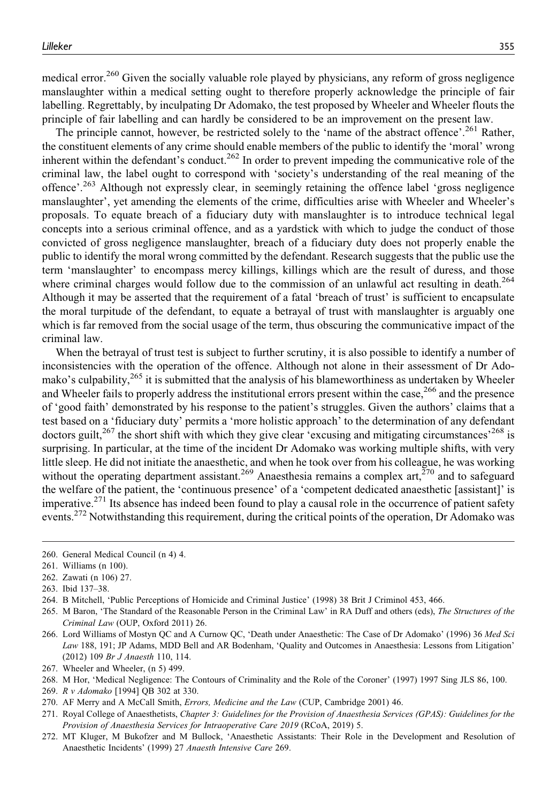medical error.<sup>260</sup> Given the socially valuable role played by physicians, any reform of gross negligence manslaughter within a medical setting ought to therefore properly acknowledge the principle of fair labelling. Regrettably, by inculpating Dr Adomako, the test proposed by Wheeler and Wheeler flouts the principle of fair labelling and can hardly be considered to be an improvement on the present law.

The principle cannot, however, be restricted solely to the 'name of the abstract offence'.<sup>261</sup> Rather, the constituent elements of any crime should enable members of the public to identify the 'moral' wrong inherent within the defendant's conduct.<sup>262</sup> In order to prevent impeding the communicative role of the criminal law, the label ought to correspond with 'society's understanding of the real meaning of the offence'.<sup>263</sup> Although not expressly clear, in seemingly retaining the offence label 'gross negligence manslaughter', yet amending the elements of the crime, difficulties arise with Wheeler and Wheeler's proposals. To equate breach of a fiduciary duty with manslaughter is to introduce technical legal concepts into a serious criminal offence, and as a yardstick with which to judge the conduct of those convicted of gross negligence manslaughter, breach of a fiduciary duty does not properly enable the public to identify the moral wrong committed by the defendant. Research suggests that the public use the term 'manslaughter' to encompass mercy killings, killings which are the result of duress, and those where criminal charges would follow due to the commission of an unlawful act resulting in death.<sup>264</sup> Although it may be asserted that the requirement of a fatal 'breach of trust' is sufficient to encapsulate the moral turpitude of the defendant, to equate a betrayal of trust with manslaughter is arguably one which is far removed from the social usage of the term, thus obscuring the communicative impact of the criminal law.

When the betrayal of trust test is subject to further scrutiny, it is also possible to identify a number of inconsistencies with the operation of the offence. Although not alone in their assessment of Dr Adomako's culpability,<sup>265</sup> it is submitted that the analysis of his blameworthiness as undertaken by Wheeler and Wheeler fails to properly address the institutional errors present within the case, $266$  and the presence of 'good faith' demonstrated by his response to the patient's struggles. Given the authors' claims that a test based on a 'fiduciary duty' permits a 'more holistic approach' to the determination of any defendant doctors guilt,<sup>267</sup> the short shift with which they give clear 'excusing and mitigating circumstances'<sup>268</sup> is surprising. In particular, at the time of the incident Dr Adomako was working multiple shifts, with very little sleep. He did not initiate the anaesthetic, and when he took over from his colleague, he was working without the operating department assistant.<sup>269</sup> Anaesthesia remains a complex art,<sup>270</sup> and to safeguard the welfare of the patient, the 'continuous presence' of a 'competent dedicated anaesthetic [assistant]' is imperative.<sup>271</sup> Its absence has indeed been found to play a causal role in the occurrence of patient safety events.<sup>272</sup> Notwithstanding this requirement, during the critical points of the operation, Dr Adomako was

<sup>260.</sup> General Medical Council (n 4) 4.

<sup>261.</sup> Williams (n 100).

<sup>262.</sup> Zawati (n 106) 27.

<sup>263.</sup> Ibid 137–38.

<sup>264.</sup> B Mitchell, 'Public Perceptions of Homicide and Criminal Justice' (1998) 38 Brit J Criminol 453, 466.

<sup>265.</sup> M Baron, 'The Standard of the Reasonable Person in the Criminal Law' in RA Duff and others (eds), The Structures of the Criminal Law (OUP, Oxford 2011) 26.

<sup>266.</sup> Lord Williams of Mostyn QC and A Curnow QC, 'Death under Anaesthetic: The Case of Dr Adomako' (1996) 36 Med Sci Law 188, 191; JP Adams, MDD Bell and AR Bodenham, 'Quality and Outcomes in Anaesthesia: Lessons from Litigation' (2012) 109 Br J Anaesth 110, 114.

<sup>267.</sup> Wheeler and Wheeler, (n 5) 499.

<sup>268.</sup> M Hor, 'Medical Negligence: The Contours of Criminality and the Role of the Coroner' (1997) 1997 Sing JLS 86, 100.

<sup>269.</sup> R v Adomako [1994] QB 302 at 330.

<sup>270.</sup> AF Merry and A McCall Smith, Errors, Medicine and the Law (CUP, Cambridge 2001) 46.

<sup>271.</sup> Royal College of Anaesthetists, Chapter 3: Guidelines for the Provision of Anaesthesia Services (GPAS): Guidelines for the Provision of Anaesthesia Services for Intraoperative Care 2019 (RCoA, 2019) 5.

<sup>272.</sup> MT Kluger, M Bukofzer and M Bullock, 'Anaesthetic Assistants: Their Role in the Development and Resolution of Anaesthetic Incidents' (1999) 27 Anaesth Intensive Care 269.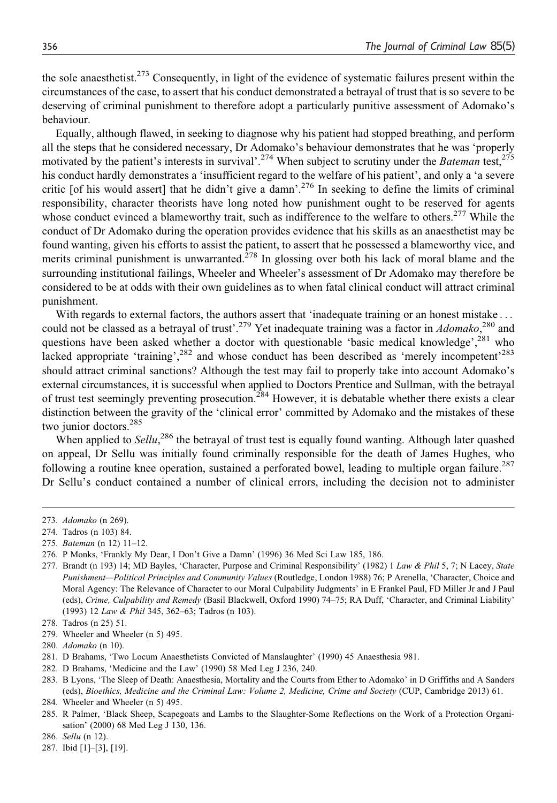the sole anaesthetist.<sup>273</sup> Consequently, in light of the evidence of systematic failures present within the circumstances of the case, to assert that his conduct demonstrated a betrayal of trust that is so severe to be deserving of criminal punishment to therefore adopt a particularly punitive assessment of Adomako's behaviour.

Equally, although flawed, in seeking to diagnose why his patient had stopped breathing, and perform all the steps that he considered necessary, Dr Adomako's behaviour demonstrates that he was 'properly motivated by the patient's interests in survival'.<sup>274</sup> When subject to scrutiny under the Bateman test,<sup>275</sup> his conduct hardly demonstrates a 'insufficient regard to the welfare of his patient', and only a 'a severe critic [of his would assert] that he didn't give a damn'.276 In seeking to define the limits of criminal responsibility, character theorists have long noted how punishment ought to be reserved for agents whose conduct evinced a blameworthy trait, such as indifference to the welfare to others.<sup>277</sup> While the conduct of Dr Adomako during the operation provides evidence that his skills as an anaesthetist may be found wanting, given his efforts to assist the patient, to assert that he possessed a blameworthy vice, and merits criminal punishment is unwarranted. $278$  In glossing over both his lack of moral blame and the surrounding institutional failings, Wheeler and Wheeler's assessment of Dr Adomako may therefore be considered to be at odds with their own guidelines as to when fatal clinical conduct will attract criminal punishment.

With regards to external factors, the authors assert that 'inadequate training or an honest mistake ... could not be classed as a betrayal of trust'.<sup>279</sup> Yet inadequate training was a factor in *Adomako*,<sup>280</sup> and questions have been asked whether a doctor with questionable 'basic medical knowledge',  $^{281}$  who lacked appropriate 'training',  $282$  and whose conduct has been described as 'merely incompetent'  $283$ should attract criminal sanctions? Although the test may fail to properly take into account Adomako's external circumstances, it is successful when applied to Doctors Prentice and Sullman, with the betrayal of trust test seemingly preventing prosecution.<sup>284</sup> However, it is debatable whether there exists a clear distinction between the gravity of the 'clinical error' committed by Adomako and the mistakes of these two junior doctors.<sup>285</sup>

When applied to  $\text{Sellu}$ ,  $^{286}$  the betrayal of trust test is equally found wanting. Although later quashed on appeal, Dr Sellu was initially found criminally responsible for the death of James Hughes, who following a routine knee operation, sustained a perforated bowel, leading to multiple organ failure.<sup>287</sup> Dr Sellu's conduct contained a number of clinical errors, including the decision not to administer

279. Wheeler and Wheeler (n 5) 495.

- 281. D Brahams, 'Two Locum Anaesthetists Convicted of Manslaughter' (1990) 45 Anaesthesia 981.
- 282. D Brahams, 'Medicine and the Law' (1990) 58 Med Leg J 236, 240.

<sup>273.</sup> Adomako (n 269).

<sup>274.</sup> Tadros (n 103) 84.

<sup>275.</sup> Bateman (n 12) 11–12.

<sup>276.</sup> P Monks, 'Frankly My Dear, I Don't Give a Damn' (1996) 36 Med Sci Law 185, 186.

<sup>277.</sup> Brandt (n 193) 14; MD Bayles, 'Character, Purpose and Criminal Responsibility' (1982) 1 Law & Phil 5, 7; N Lacey, State Punishment—Political Principles and Community Values (Routledge, London 1988) 76; P Arenella, 'Character, Choice and Moral Agency: The Relevance of Character to our Moral Culpability Judgments' in E Frankel Paul, FD Miller Jr and J Paul (eds), Crime, Culpability and Remedy (Basil Blackwell, Oxford 1990) 74–75; RA Duff, 'Character, and Criminal Liability' (1993) 12 Law & Phil 345, 362–63; Tadros (n 103).

<sup>278.</sup> Tadros (n 25) 51.

<sup>280.</sup> Adomako (n 10).

<sup>283.</sup> B Lyons, 'The Sleep of Death: Anaesthesia, Mortality and the Courts from Ether to Adomako' in D Griffiths and A Sanders (eds), Bioethics, Medicine and the Criminal Law: Volume 2, Medicine, Crime and Society (CUP, Cambridge 2013) 61.

<sup>284.</sup> Wheeler and Wheeler (n 5) 495.

<sup>285.</sup> R Palmer, 'Black Sheep, Scapegoats and Lambs to the Slaughter-Some Reflections on the Work of a Protection Organisation' (2000) 68 Med Leg J 130, 136.

<sup>286.</sup> Sellu (n 12).

<sup>287.</sup> Ibid [1]–[3], [19].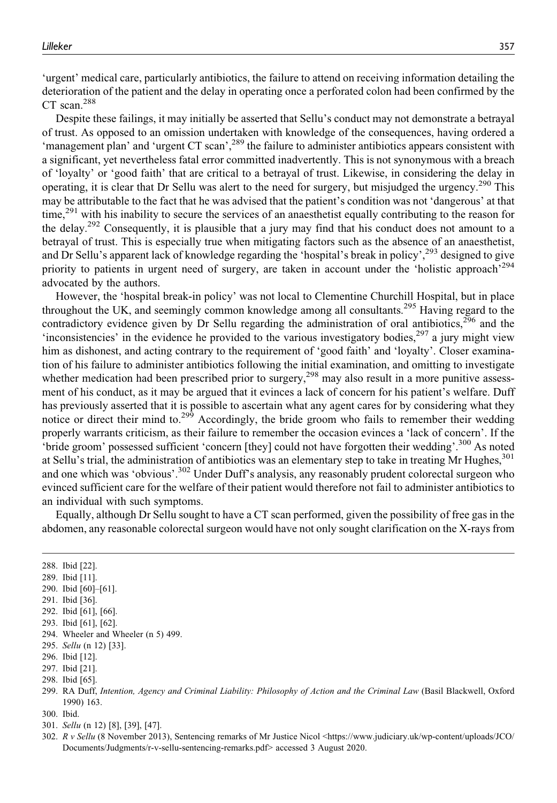'urgent' medical care, particularly antibiotics, the failure to attend on receiving information detailing the deterioration of the patient and the delay in operating once a perforated colon had been confirmed by the CT scan.<sup>288</sup>

Despite these failings, it may initially be asserted that Sellu's conduct may not demonstrate a betrayal of trust. As opposed to an omission undertaken with knowledge of the consequences, having ordered a 'management plan' and 'urgent CT scan',<sup>289</sup> the failure to administer antibiotics appears consistent with a significant, yet nevertheless fatal error committed inadvertently. This is not synonymous with a breach of 'loyalty' or 'good faith' that are critical to a betrayal of trust. Likewise, in considering the delay in operating, it is clear that Dr Sellu was alert to the need for surgery, but misjudged the urgency.<sup>290</sup> This may be attributable to the fact that he was advised that the patient's condition was not 'dangerous' at that time,<sup>291</sup> with his inability to secure the services of an anaesthetist equally contributing to the reason for the delay.292 Consequently, it is plausible that a jury may find that his conduct does not amount to a betrayal of trust. This is especially true when mitigating factors such as the absence of an anaesthetist, and Dr Sellu's apparent lack of knowledge regarding the 'hospital's break in policy',<sup>293</sup> designed to give priority to patients in urgent need of surgery, are taken in account under the 'holistic approach'<sup>294</sup> advocated by the authors.

However, the 'hospital break-in policy' was not local to Clementine Churchill Hospital, but in place throughout the UK, and seemingly common knowledge among all consultants.<sup>295</sup> Having regard to the contradictory evidence given by Dr Sellu regarding the administration of oral antibiotics, $2^{56}$  and the 'inconsistencies' in the evidence he provided to the various investigatory bodies, $297$  a jury might view him as dishonest, and acting contrary to the requirement of 'good faith' and 'loyalty'. Closer examination of his failure to administer antibiotics following the initial examination, and omitting to investigate whether medication had been prescribed prior to surgery,<sup>298</sup> may also result in a more punitive assessment of his conduct, as it may be argued that it evinces a lack of concern for his patient's welfare. Duff has previously asserted that it is possible to ascertain what any agent cares for by considering what they notice or direct their mind to.<sup>299</sup> Accordingly, the bride groom who fails to remember their wedding properly warrants criticism, as their failure to remember the occasion evinces a 'lack of concern'. If the 'bride groom' possessed sufficient 'concern [they] could not have forgotten their wedding'.<sup>300</sup> As noted at Sellu's trial, the administration of antibiotics was an elementary step to take in treating Mr Hughes,<sup>301</sup> and one which was 'obvious'.302 Under Duff's analysis, any reasonably prudent colorectal surgeon who evinced sufficient care for the welfare of their patient would therefore not fail to administer antibiotics to an individual with such symptoms.

Equally, although Dr Sellu sought to have a CT scan performed, given the possibility of free gas in the abdomen, any reasonable colorectal surgeon would have not only sought clarification on the X-rays from

288. Ibid [22].

- 289. Ibid [11].
- 290. Ibid [60]–[61].
- 291. Ibid [36].

- 293. Ibid [61], [62].
- 294. Wheeler and Wheeler (n 5) 499.
- 295. Sellu (n 12) [33].
- 296. Ibid [12].
- 297. Ibid [21].
- 298. Ibid [65].
- 299. RA Duff, Intention, Agency and Criminal Liability: Philosophy of Action and the Criminal Law (Basil Blackwell, Oxford 1990) 163.
- 300. Ibid.
- 301. Sellu (n 12) [8], [39], [47].
- 302. R v Sellu (8 November 2013), Sentencing remarks of Mr Justice Nicol <[https://www.judiciary.uk/wp-content/uploads/JCO/](https://www.judiciary.uk/wp-content/uploads/JCO/Documents/Judgments/r-v-sellu-sentencing-remarks.pdf) [Documents/Judgments/r-v-sellu-sentencing-remarks.pdf>](https://www.judiciary.uk/wp-content/uploads/JCO/Documents/Judgments/r-v-sellu-sentencing-remarks.pdf) accessed 3 August 2020.

<sup>292.</sup> Ibid [61], [66].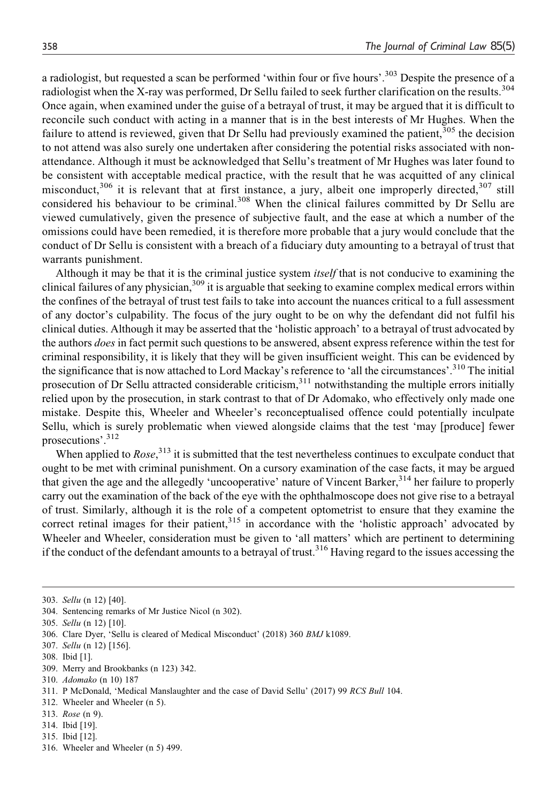a radiologist, but requested a scan be performed 'within four or five hours'.<sup>303</sup> Despite the presence of a radiologist when the X-ray was performed, Dr Sellu failed to seek further clarification on the results.<sup>304</sup> Once again, when examined under the guise of a betrayal of trust, it may be argued that it is difficult to reconcile such conduct with acting in a manner that is in the best interests of Mr Hughes. When the failure to attend is reviewed, given that Dr Sellu had previously examined the patient,<sup>305</sup> the decision to not attend was also surely one undertaken after considering the potential risks associated with nonattendance. Although it must be acknowledged that Sellu's treatment of Mr Hughes was later found to be consistent with acceptable medical practice, with the result that he was acquitted of any clinical misconduct, $306$  it is relevant that at first instance, a jury, albeit one improperly directed,  $307$  still considered his behaviour to be criminal.<sup>308</sup> When the clinical failures committed by Dr Sellu are viewed cumulatively, given the presence of subjective fault, and the ease at which a number of the omissions could have been remedied, it is therefore more probable that a jury would conclude that the conduct of Dr Sellu is consistent with a breach of a fiduciary duty amounting to a betrayal of trust that warrants punishment.

Although it may be that it is the criminal justice system itself that is not conducive to examining the clinical failures of any physician,<sup>309</sup> it is arguable that seeking to examine complex medical errors within the confines of the betrayal of trust test fails to take into account the nuances critical to a full assessment of any doctor's culpability. The focus of the jury ought to be on why the defendant did not fulfil his clinical duties. Although it may be asserted that the 'holistic approach' to a betrayal of trust advocated by the authors *does* in fact permit such questions to be answered, absent express reference within the test for criminal responsibility, it is likely that they will be given insufficient weight. This can be evidenced by the significance that is now attached to Lord Mackay's reference to 'all the circumstances'.<sup>310</sup> The initial prosecution of Dr Sellu attracted considerable criticism, $311$  notwithstanding the multiple errors initially relied upon by the prosecution, in stark contrast to that of Dr Adomako, who effectively only made one mistake. Despite this, Wheeler and Wheeler's reconceptualised offence could potentially inculpate Sellu, which is surely problematic when viewed alongside claims that the test 'may [produce] fewer prosecutions'.<sup>312</sup>

When applied to  $Rose$ ,  $313$  it is submitted that the test nevertheless continues to exculpate conduct that ought to be met with criminal punishment. On a cursory examination of the case facts, it may be argued that given the age and the allegedly 'uncooperative' nature of Vincent Barker,<sup>314</sup> her failure to properly carry out the examination of the back of the eye with the ophthalmoscope does not give rise to a betrayal of trust. Similarly, although it is the role of a competent optometrist to ensure that they examine the correct retinal images for their patient,<sup>315</sup> in accordance with the 'holistic approach' advocated by Wheeler and Wheeler, consideration must be given to 'all matters' which are pertinent to determining if the conduct of the defendant amounts to a betrayal of trust.<sup>316</sup> Having regard to the issues accessing the

- 308. Ibid [1].
- 309. Merry and Brookbanks (n 123) 342.

- 311. P McDonald, 'Medical Manslaughter and the case of David Sellu' (2017) 99 RCS Bull 104.
- 312. Wheeler and Wheeler (n 5).
- 313. Rose (n 9).
- 314. Ibid [19].
- 315. Ibid [12].
- 316. Wheeler and Wheeler (n 5) 499.

<sup>303.</sup> Sellu (n 12) [40].

<sup>304.</sup> Sentencing remarks of Mr Justice Nicol (n 302).

<sup>305.</sup> Sellu (n 12) [10].

<sup>306.</sup> Clare Dyer, 'Sellu is cleared of Medical Misconduct' (2018) 360 BMJ k1089.

<sup>307.</sup> Sellu (n 12) [156].

<sup>310.</sup> Adomako (n 10) 187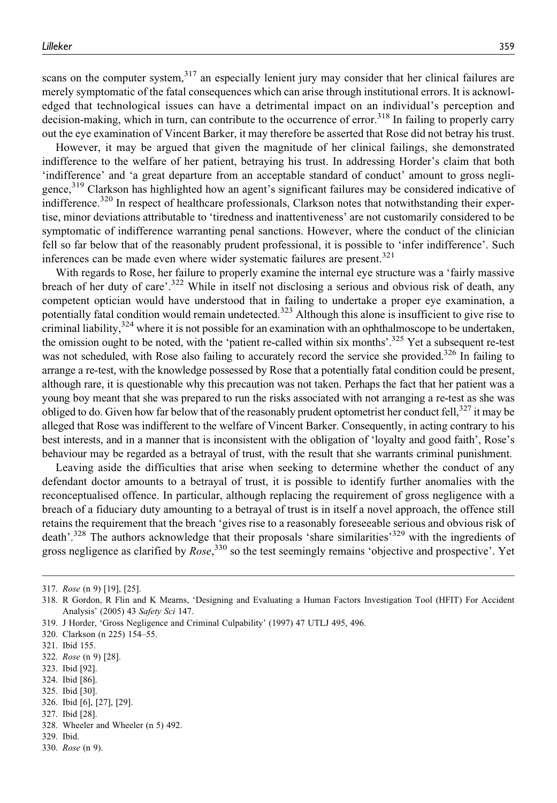scans on the computer system.<sup>317</sup> an especially lenient jury may consider that her clinical failures are merely symptomatic of the fatal consequences which can arise through institutional errors. It is acknowledged that technological issues can have a detrimental impact on an individual's perception and decision-making, which in turn, can contribute to the occurrence of error.<sup>318</sup> In failing to properly carry out the eye examination of Vincent Barker, it may therefore be asserted that Rose did not betray his trust.

However, it may be argued that given the magnitude of her clinical failings, she demonstrated indifference to the welfare of her patient, betraying his trust. In addressing Horder's claim that both 'indifference' and 'a great departure from an acceptable standard of conduct' amount to gross negligence,<sup>319</sup> Clarkson has highlighted how an agent's significant failures may be considered indicative of indifference.<sup>320</sup> In respect of healthcare professionals, Clarkson notes that notwithstanding their expertise, minor deviations attributable to 'tiredness and inattentiveness' are not customarily considered to be symptomatic of indifference warranting penal sanctions. However, where the conduct of the clinician fell so far below that of the reasonably prudent professional, it is possible to 'infer indifference'. Such inferences can be made even where wider systematic failures are present.<sup>321</sup>

With regards to Rose, her failure to properly examine the internal eye structure was a 'fairly massive breach of her duty of care'.<sup>322</sup> While in itself not disclosing a serious and obvious risk of death, any competent optician would have understood that in failing to undertake a proper eye examination, a potentially fatal condition would remain undetected.<sup>323</sup> Although this alone is insufficient to give rise to criminal liability, $3^{24}$  where it is not possible for an examination with an ophthalmoscope to be undertaken, the omission ought to be noted, with the 'patient re-called within six months'. $325$  Yet a subsequent re-test was not scheduled, with Rose also failing to accurately record the service she provided.<sup>326</sup> In failing to arrange a re-test, with the knowledge possessed by Rose that a potentially fatal condition could be present, although rare, it is questionable why this precaution was not taken. Perhaps the fact that her patient was a young boy meant that she was prepared to run the risks associated with not arranging a re-test as she was obliged to do. Given how far below that of the reasonably prudent optometrist her conduct fell,<sup>327</sup> it may be alleged that Rose was indifferent to the welfare of Vincent Barker. Consequently, in acting contrary to his best interests, and in a manner that is inconsistent with the obligation of 'loyalty and good faith', Rose's behaviour may be regarded as a betrayal of trust, with the result that she warrants criminal punishment.

Leaving aside the difficulties that arise when seeking to determine whether the conduct of any defendant doctor amounts to a betrayal of trust, it is possible to identify further anomalies with the reconceptualised offence. In particular, although replacing the requirement of gross negligence with a breach of a fiduciary duty amounting to a betrayal of trust is in itself a novel approach, the offence still retains the requirement that the breach 'gives rise to a reasonably foreseeable serious and obvious risk of death'.<sup>328</sup> The authors acknowledge that their proposals 'share similarities'<sup>329</sup> with the ingredients of gross negligence as clarified by  $Rose$ ,<sup>330</sup> so the test seemingly remains 'objective and prospective'. Yet

323. Ibid [92].

- 325. Ibid [30].
- 326. Ibid [6], [27], [29].
- 327. Ibid [28].
- 328. Wheeler and Wheeler (n 5) 492.
- 329. Ibid.
- 330. Rose (n 9).

<sup>317.</sup> Rose (n 9) [19], [25].

<sup>318.</sup> R Gordon, R Flin and K Mearns, 'Designing and Evaluating a Human Factors Investigation Tool (HFIT) For Accident Analysis' (2005) 43 Safety Sci 147.

<sup>319.</sup> J Horder, 'Gross Negligence and Criminal Culpability' (1997) 47 UTLJ 495, 496.

<sup>320.</sup> Clarkson (n 225) 154–55.

<sup>321.</sup> Ibid 155.

<sup>322.</sup> Rose (n 9) [28].

<sup>324.</sup> Ibid [86].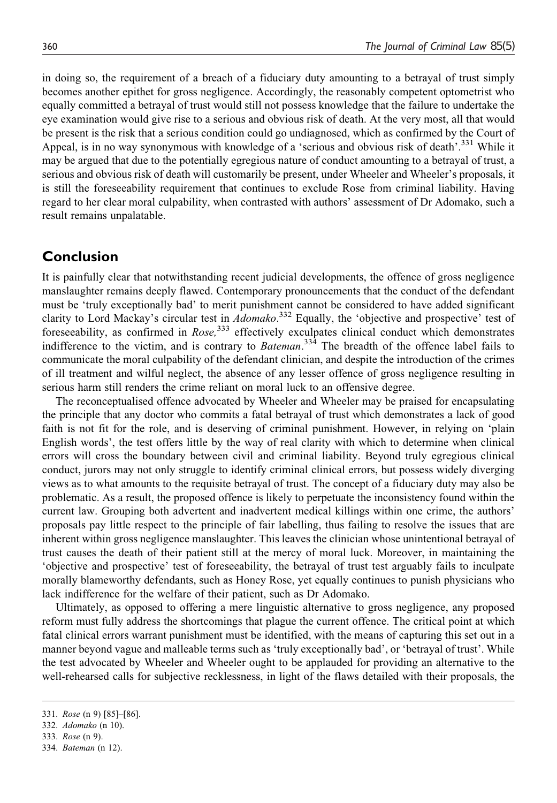in doing so, the requirement of a breach of a fiduciary duty amounting to a betrayal of trust simply becomes another epithet for gross negligence. Accordingly, the reasonably competent optometrist who equally committed a betrayal of trust would still not possess knowledge that the failure to undertake the eye examination would give rise to a serious and obvious risk of death. At the very most, all that would be present is the risk that a serious condition could go undiagnosed, which as confirmed by the Court of Appeal, is in no way synonymous with knowledge of a 'serious and obvious risk of death'.<sup>331</sup> While it may be argued that due to the potentially egregious nature of conduct amounting to a betrayal of trust, a serious and obvious risk of death will customarily be present, under Wheeler and Wheeler's proposals, it is still the foreseeability requirement that continues to exclude Rose from criminal liability. Having regard to her clear moral culpability, when contrasted with authors' assessment of Dr Adomako, such a result remains unpalatable.

#### **Conclusion**

It is painfully clear that notwithstanding recent judicial developments, the offence of gross negligence manslaughter remains deeply flawed. Contemporary pronouncements that the conduct of the defendant must be 'truly exceptionally bad' to merit punishment cannot be considered to have added significant clarity to Lord Mackay's circular test in *Adomako*.<sup>332</sup> Equally, the 'objective and prospective' test of foreseeability, as confirmed in  $Rose$ ,  $333$  effectively exculpates clinical conduct which demonstrates indifference to the victim, and is contrary to *Bateman*.<sup>334</sup> The breadth of the offence label fails to communicate the moral culpability of the defendant clinician, and despite the introduction of the crimes of ill treatment and wilful neglect, the absence of any lesser offence of gross negligence resulting in serious harm still renders the crime reliant on moral luck to an offensive degree.

The reconceptualised offence advocated by Wheeler and Wheeler may be praised for encapsulating the principle that any doctor who commits a fatal betrayal of trust which demonstrates a lack of good faith is not fit for the role, and is deserving of criminal punishment. However, in relying on 'plain English words', the test offers little by the way of real clarity with which to determine when clinical errors will cross the boundary between civil and criminal liability. Beyond truly egregious clinical conduct, jurors may not only struggle to identify criminal clinical errors, but possess widely diverging views as to what amounts to the requisite betrayal of trust. The concept of a fiduciary duty may also be problematic. As a result, the proposed offence is likely to perpetuate the inconsistency found within the current law. Grouping both advertent and inadvertent medical killings within one crime, the authors' proposals pay little respect to the principle of fair labelling, thus failing to resolve the issues that are inherent within gross negligence manslaughter. This leaves the clinician whose unintentional betrayal of trust causes the death of their patient still at the mercy of moral luck. Moreover, in maintaining the 'objective and prospective' test of foreseeability, the betrayal of trust test arguably fails to inculpate morally blameworthy defendants, such as Honey Rose, yet equally continues to punish physicians who lack indifference for the welfare of their patient, such as Dr Adomako.

Ultimately, as opposed to offering a mere linguistic alternative to gross negligence, any proposed reform must fully address the shortcomings that plague the current offence. The critical point at which fatal clinical errors warrant punishment must be identified, with the means of capturing this set out in a manner beyond vague and malleable terms such as 'truly exceptionally bad', or 'betrayal of trust'. While the test advocated by Wheeler and Wheeler ought to be applauded for providing an alternative to the well-rehearsed calls for subjective recklessness, in light of the flaws detailed with their proposals, the

333. Rose (n 9).

<sup>331.</sup> Rose (n 9) [85]–[86].

<sup>332.</sup> Adomako (n 10).

<sup>334.</sup> Bateman (n 12).